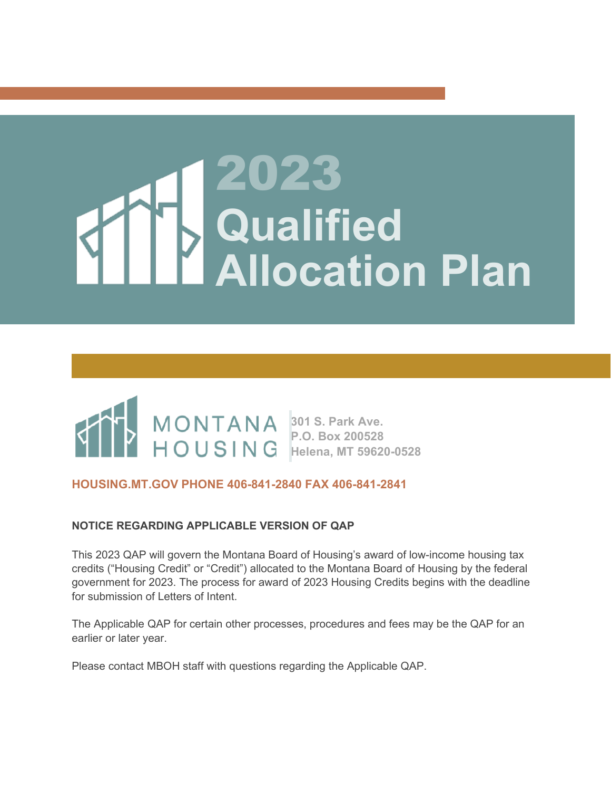# 2023 **Qualified Allocation Plan**



#### **HOUSING.MT.GOV PHONE 406-841-2840 FAX 406-841-2841**

#### **NOTICE REGARDING APPLICABLE VERSION OF QAP**

This 2023 QAP will govern the Montana Board of Housing's award of low-income housing tax credits ("Housing Credit" or "Credit") allocated to the Montana Board of Housing by the federal government for 2023. The process for award of 2023 Housing Credits begins with the deadline for submission of Letters of Intent.

The Applicable QAP for certain other processes, procedures and fees may be the QAP for an earlier or later year.

Please contact MBOH staff with questions regarding the Applicable QAP.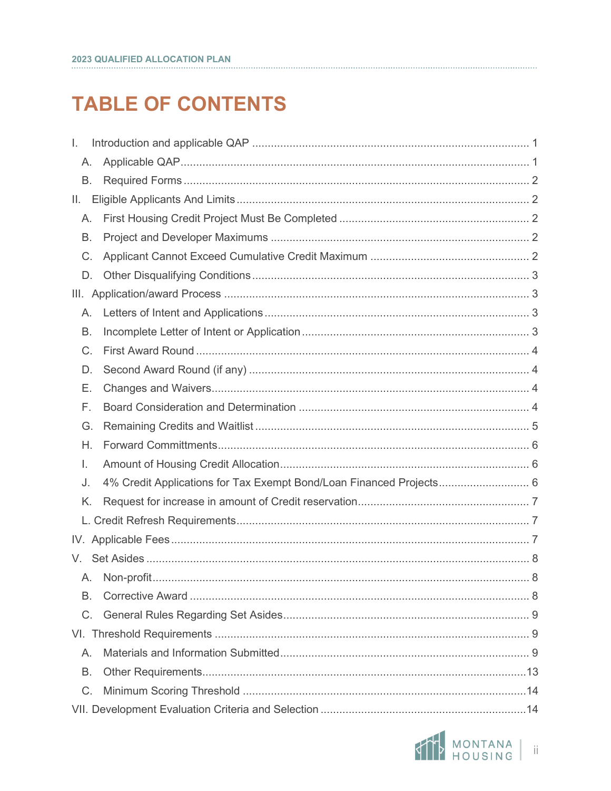# **TABLE OF CONTENTS**

| I.      |                                                                     |  |
|---------|---------------------------------------------------------------------|--|
| А.      |                                                                     |  |
| Β.      |                                                                     |  |
| Ш.      |                                                                     |  |
| А.      |                                                                     |  |
| В.      |                                                                     |  |
| C.      |                                                                     |  |
| D.      |                                                                     |  |
| III.    |                                                                     |  |
| А.      |                                                                     |  |
| В.      |                                                                     |  |
| C.      |                                                                     |  |
| D.      |                                                                     |  |
| Е.      |                                                                     |  |
| F.      |                                                                     |  |
| G.      |                                                                     |  |
| Η.      |                                                                     |  |
| Ι.      |                                                                     |  |
| J.      | 4% Credit Applications for Tax Exempt Bond/Loan Financed Projects 6 |  |
| K.      |                                                                     |  |
|         |                                                                     |  |
|         |                                                                     |  |
| V.      |                                                                     |  |
| A.      |                                                                     |  |
| B.      |                                                                     |  |
| $C_{1}$ |                                                                     |  |
|         |                                                                     |  |
| $A_{1}$ |                                                                     |  |
| В.      |                                                                     |  |
| C.      |                                                                     |  |
|         |                                                                     |  |

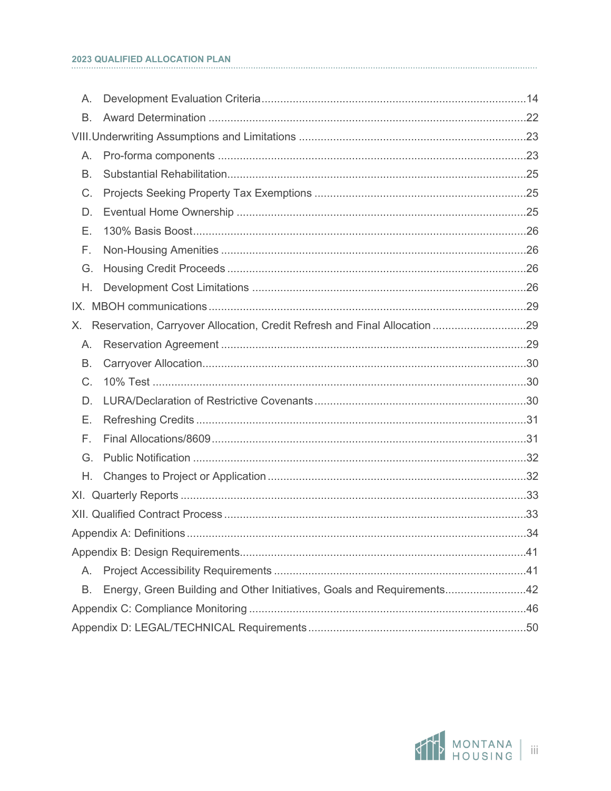#### 2023 QUALIFIED ALLOCATION PLAN

| Α.          |                                                                        |  |  |
|-------------|------------------------------------------------------------------------|--|--|
| <b>B.</b>   |                                                                        |  |  |
|             |                                                                        |  |  |
| А.          |                                                                        |  |  |
| <b>B.</b>   |                                                                        |  |  |
| C.          |                                                                        |  |  |
| D.          |                                                                        |  |  |
| Ε.          |                                                                        |  |  |
| F.          |                                                                        |  |  |
| G.          |                                                                        |  |  |
| Η.          |                                                                        |  |  |
|             |                                                                        |  |  |
| Х.          |                                                                        |  |  |
| А.          |                                                                        |  |  |
| В.          |                                                                        |  |  |
| $C_{\cdot}$ |                                                                        |  |  |
| D.          |                                                                        |  |  |
| Е.          |                                                                        |  |  |
| F.          |                                                                        |  |  |
| G.          |                                                                        |  |  |
| Η.          |                                                                        |  |  |
|             |                                                                        |  |  |
|             |                                                                        |  |  |
|             |                                                                        |  |  |
|             |                                                                        |  |  |
| А.          |                                                                        |  |  |
| Β.          | Energy, Green Building and Other Initiatives, Goals and Requirements42 |  |  |
|             |                                                                        |  |  |
|             |                                                                        |  |  |

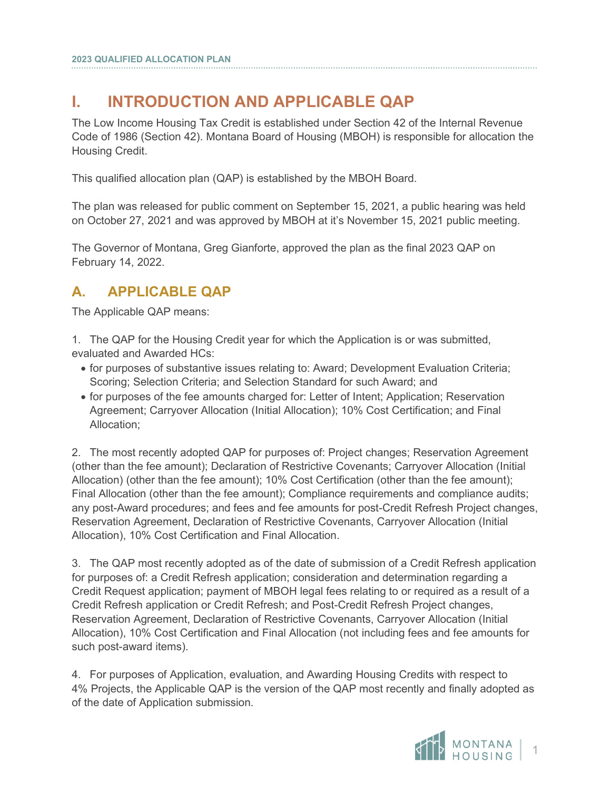# <span id="page-3-0"></span>**I. INTRODUCTION AND APPLICABLE QAP**

The Low Income Housing Tax Credit is established under Section 42 of the Internal Revenue Code of 1986 (Section 42). Montana Board of Housing (MBOH) is responsible for allocation the Housing Credit.

This qualified allocation plan (QAP) is established by the MBOH Board.

The plan was released for public comment on September 15, 2021, a public hearing was held on October 27, 2021 and was approved by MBOH at it's November 15, 2021 public meeting.

The Governor of Montana, Greg Gianforte, approved the plan as the final 2023 QAP on February 14, 2022.

## <span id="page-3-1"></span>**A. APPLICABLE QAP**

The Applicable QAP means:

- 1. The QAP for the Housing Credit year for which the Application is or was submitted, evaluated and Awarded HCs:
	- for purposes of substantive issues relating to: Award; Development Evaluation Criteria; Scoring; Selection Criteria; and Selection Standard for such Award; and
	- for purposes of the fee amounts charged for: Letter of Intent; Application; Reservation Agreement; Carryover Allocation (Initial Allocation); 10% Cost Certification; and Final Allocation;

2. The most recently adopted QAP for purposes of: Project changes; Reservation Agreement (other than the fee amount); Declaration of Restrictive Covenants; Carryover Allocation (Initial Allocation) (other than the fee amount); 10% Cost Certification (other than the fee amount); Final Allocation (other than the fee amount); Compliance requirements and compliance audits; any post-Award procedures; and fees and fee amounts for post-Credit Refresh Project changes, Reservation Agreement, Declaration of Restrictive Covenants, Carryover Allocation (Initial Allocation), 10% Cost Certification and Final Allocation.

3. The QAP most recently adopted as of the date of submission of a Credit Refresh application for purposes of: a Credit Refresh application; consideration and determination regarding a Credit Request application; payment of MBOH legal fees relating to or required as a result of a Credit Refresh application or Credit Refresh; and Post-Credit Refresh Project changes, Reservation Agreement, Declaration of Restrictive Covenants, Carryover Allocation (Initial Allocation), 10% Cost Certification and Final Allocation (not including fees and fee amounts for such post-award items).

4. For purposes of Application, evaluation, and Awarding Housing Credits with respect to 4% Projects, the Applicable QAP is the version of the QAP most recently and finally adopted as of the date of Application submission.

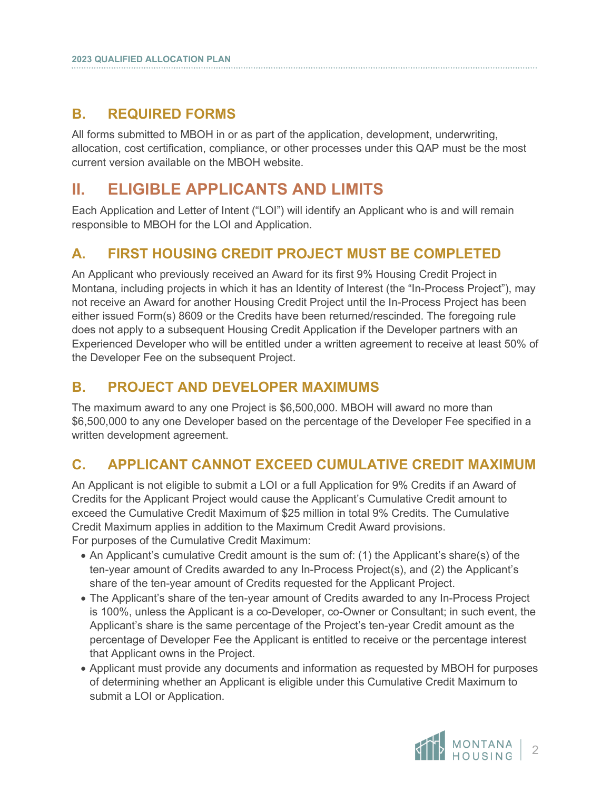## <span id="page-4-0"></span>**B. REQUIRED FORMS**

All forms submitted to MBOH in or as part of the application, development, underwriting, allocation, cost certification, compliance, or other processes under this QAP must be the most current version available on the MBOH website.

# <span id="page-4-1"></span>**II. ELIGIBLE APPLICANTS AND LIMITS**

Each Application and Letter of Intent ("LOI") will identify an Applicant who is and will remain responsible to MBOH for the LOI and Application.

## <span id="page-4-2"></span>**A. FIRST HOUSING CREDIT PROJECT MUST BE COMPLETED**

An Applicant who previously received an Award for its first 9% Housing Credit Project in Montana, including projects in which it has an Identity of Interest (the "In-Process Project"), may not receive an Award for another Housing Credit Project until the In-Process Project has been either issued Form(s) 8609 or the Credits have been returned/rescinded. The foregoing rule does not apply to a subsequent Housing Credit Application if the Developer partners with an Experienced Developer who will be entitled under a written agreement to receive at least 50% of the Developer Fee on the subsequent Project.

## <span id="page-4-3"></span>**B. PROJECT AND DEVELOPER MAXIMUMS**

The maximum award to any one Project is \$6,500,000. MBOH will award no more than \$6,500,000 to any one Developer based on the percentage of the Developer Fee specified in a written development agreement.

## <span id="page-4-4"></span>**C. APPLICANT CANNOT EXCEED CUMULATIVE CREDIT MAXIMUM**

An Applicant is not eligible to submit a LOI or a full Application for 9% Credits if an Award of Credits for the Applicant Project would cause the Applicant's Cumulative Credit amount to exceed the Cumulative Credit Maximum of \$25 million in total 9% Credits. The Cumulative Credit Maximum applies in addition to the Maximum Credit Award provisions. For purposes of the Cumulative Credit Maximum:

- An Applicant's cumulative Credit amount is the sum of: (1) the Applicant's share(s) of the ten-year amount of Credits awarded to any In-Process Project(s), and (2) the Applicant's share of the ten-year amount of Credits requested for the Applicant Project.
- The Applicant's share of the ten-year amount of Credits awarded to any In-Process Project is 100%, unless the Applicant is a co-Developer, co-Owner or Consultant; in such event, the Applicant's share is the same percentage of the Project's ten-year Credit amount as the percentage of Developer Fee the Applicant is entitled to receive or the percentage interest that Applicant owns in the Project.
- Applicant must provide any documents and information as requested by MBOH for purposes of determining whether an Applicant is eligible under this Cumulative Credit Maximum to submit a LOI or Application.

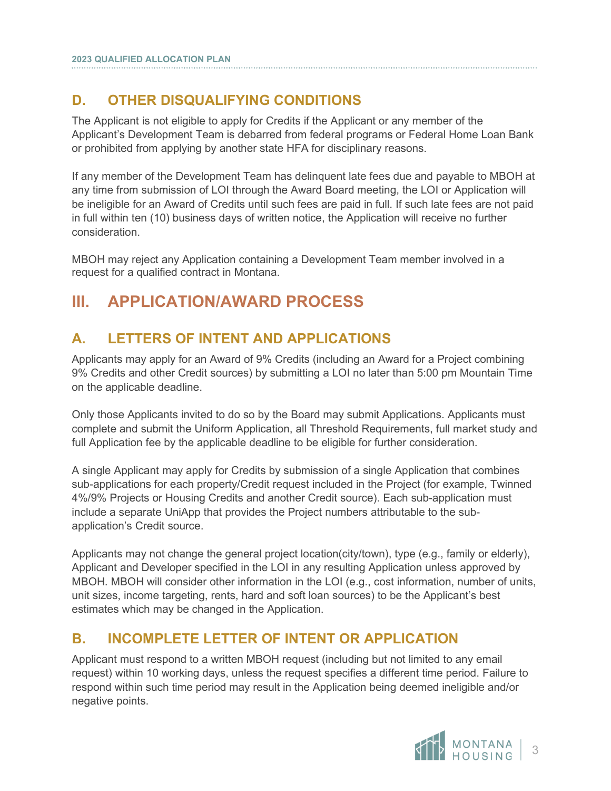## <span id="page-5-0"></span>**D. OTHER DISQUALIFYING CONDITIONS**

The Applicant is not eligible to apply for Credits if the Applicant or any member of the Applicant's Development Team is debarred from federal programs or Federal Home Loan Bank or prohibited from applying by another state HFA for disciplinary reasons.

If any member of the Development Team has delinquent late fees due and payable to MBOH at any time from submission of LOI through the Award Board meeting, the LOI or Application will be ineligible for an Award of Credits until such fees are paid in full. If such late fees are not paid in full within ten (10) business days of written notice, the Application will receive no further consideration.

MBOH may reject any Application containing a Development Team member involved in a request for a qualified contract in Montana.

# <span id="page-5-1"></span>**III. APPLICATION/AWARD PROCESS**

# <span id="page-5-2"></span>**A. LETTERS OF INTENT AND APPLICATIONS**

Applicants may apply for an Award of 9% Credits (including an Award for a Project combining 9% Credits and other Credit sources) by submitting a LOI no later than 5:00 pm Mountain Time on the applicable deadline.

Only those Applicants invited to do so by the Board may submit Applications. Applicants must complete and submit the Uniform Application, all Threshold Requirements, full market study and full Application fee by the applicable deadline to be eligible for further consideration.

A single Applicant may apply for Credits by submission of a single Application that combines sub-applications for each property/Credit request included in the Project (for example, Twinned 4%/9% Projects or Housing Credits and another Credit source). Each sub-application must include a separate UniApp that provides the Project numbers attributable to the subapplication's Credit source.

Applicants may not change the general project location(city/town), type (e.g., family or elderly), Applicant and Developer specified in the LOI in any resulting Application unless approved by MBOH. MBOH will consider other information in the LOI (e.g., cost information, number of units, unit sizes, income targeting, rents, hard and soft loan sources) to be the Applicant's best estimates which may be changed in the Application.

## <span id="page-5-3"></span>**B. INCOMPLETE LETTER OF INTENT OR APPLICATION**

Applicant must respond to a written MBOH request (including but not limited to any email request) within 10 working days, unless the request specifies a different time period. Failure to respond within such time period may result in the Application being deemed ineligible and/or negative points.

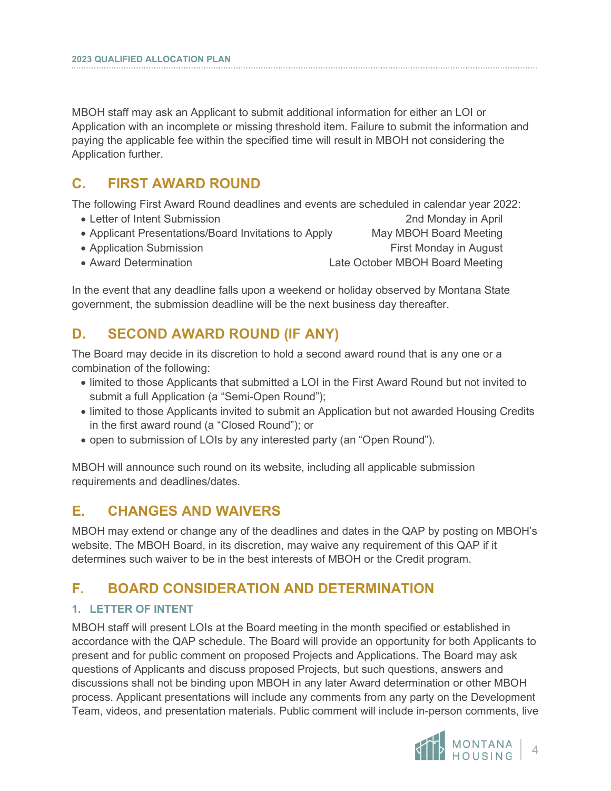MBOH staff may ask an Applicant to submit additional information for either an LOI or Application with an incomplete or missing threshold item. Failure to submit the information and paying the applicable fee within the specified time will result in MBOH not considering the Application further.

## <span id="page-6-0"></span>**C. FIRST AWARD ROUND**

The following First Award Round deadlines and events are scheduled in calendar year 2022:

- Letter of Intent Submission 2nd Monday in April
- Applicant Presentations/Board Invitations to Apply May MBOH Board Meeting
- Application Submission **First Monday in August** First Monday in August

• Award Determination Late October MBOH Board Meeting

In the event that any deadline falls upon a weekend or holiday observed by Montana State government, the submission deadline will be the next business day thereafter.

## <span id="page-6-1"></span>**D. SECOND AWARD ROUND (IF ANY)**

The Board may decide in its discretion to hold a second award round that is any one or a combination of the following:

- limited to those Applicants that submitted a LOI in the First Award Round but not invited to submit a full Application (a "Semi-Open Round");
- limited to those Applicants invited to submit an Application but not awarded Housing Credits in the first award round (a "Closed Round"); or
- open to submission of LOIs by any interested party (an "Open Round").

MBOH will announce such round on its website, including all applicable submission requirements and deadlines/dates.

## <span id="page-6-2"></span>**E. CHANGES AND WAIVERS**

MBOH may extend or change any of the deadlines and dates in the QAP by posting on MBOH's website. The MBOH Board, in its discretion, may waive any requirement of this QAP if it determines such waiver to be in the best interests of MBOH or the Credit program.

## <span id="page-6-3"></span>**F. BOARD CONSIDERATION AND DETERMINATION**

#### **1. LETTER OF INTENT**

MBOH staff will present LOIs at the Board meeting in the month specified or established in accordance with the QAP schedule. The Board will provide an opportunity for both Applicants to present and for public comment on proposed Projects and Applications. The Board may ask questions of Applicants and discuss proposed Projects, but such questions, answers and discussions shall not be binding upon MBOH in any later Award determination or other MBOH process. Applicant presentations will include any comments from any party on the Development Team, videos, and presentation materials. Public comment will include in-person comments, live

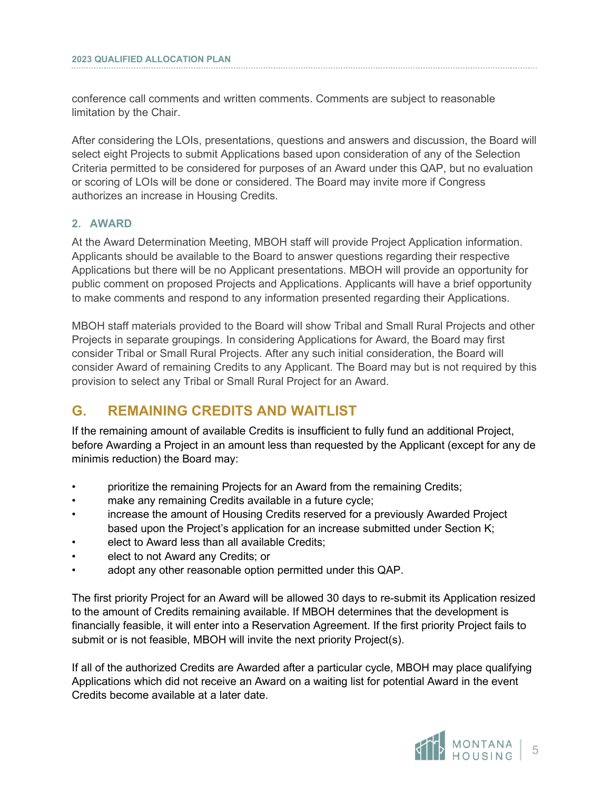conference call comments and written comments. Comments are subject to reasonable limitation by the Chair.

After considering the LOIs, presentations, questions and answers and discussion, the Board will select eight Projects to submit Applications based upon consideration of any of the Selection Criteria permitted to be considered for purposes of an Award under this QAP, but no evaluation or scoring of LOIs will be done or considered. The Board may invite more if Congress authorizes an increase in Housing Credits.

#### **2. AWARD**

i

At the Award Determination Meeting, MBOH staff will provide Project Application information. Applicants should be available to the Board to answer questions regarding their respective Applications but there will be no Applicant presentations. MBOH will provide an opportunity for public comment on proposed Projects and Applications. Applicants will have a brief opportunity to make comments and respond to any information presented regarding their Applications.

MBOH staff materials provided to the Board will show Tribal and Small Rural Projects and other Projects in separate groupings. In considering Applications for Award, the Board may first consider Tribal or Small Rural Projects. After any such initial consideration, the Board will consider Award of remaining Credits to any Applicant. The Board may but is not required by this provision to select any Tribal or Small Rural Project for an Award.

## <span id="page-7-0"></span>**G. REMAINING CREDITS AND WAITLIST**

If the remaining amount of available Credits is insufficient to fully fund an additional Project, before Awarding a Project in an amount less than requested by the Applicant (except for any de minimis reduction) the Board may:

- prioritize the remaining Projects for an Award from the remaining Credits;
- make any remaining Credits available in a future cycle;
- increase the amount of Housing Credits reserved for a previously Awarded Project based upon the Project's application for an increase submitted under Section K;
- elect to Award less than all available Credits;
- elect to not Award any Credits; or
- adopt any other reasonable option permitted under this QAP.

The first priority Project for an Award will be allowed 30 days to re-submit its Application resized to the amount of Credits remaining available. If MBOH determines that the development is financially feasible, it will enter into a Reservation Agreement. If the first priority Project fails to submit or is not feasible, MBOH will invite the next priority Project(s).

If all of the authorized Credits are Awarded after a particular cycle, MBOH may place qualifying Applications which did not receive an Award on a waiting list for potential Award in the event Credits become available at a later date.

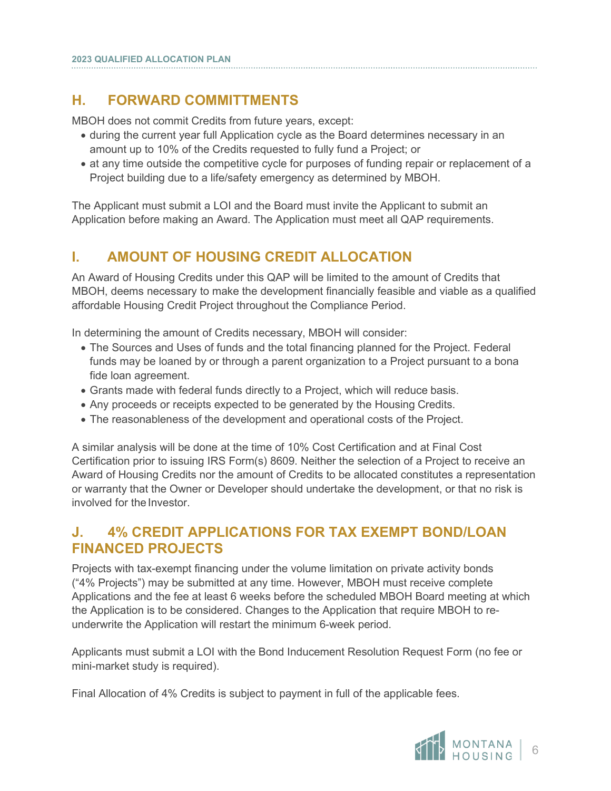## <span id="page-8-0"></span>**H. FORWARD COMMITTMENTS**

MBOH does not commit Credits from future years, except:

- during the current year full Application cycle as the Board determines necessary in an amount up to 10% of the Credits requested to fully fund a Project; or
- at any time outside the competitive cycle for purposes of funding repair or replacement of a Project building due to a life/safety emergency as determined by MBOH.

The Applicant must submit a LOI and the Board must invite the Applicant to submit an Application before making an Award. The Application must meet all QAP requirements.

## <span id="page-8-1"></span>**I. AMOUNT OF HOUSING CREDIT ALLOCATION**

An Award of Housing Credits under this QAP will be limited to the amount of Credits that MBOH, deems necessary to make the development financially feasible and viable as a qualified affordable Housing Credit Project throughout the Compliance Period.

In determining the amount of Credits necessary, MBOH will consider:

- The Sources and Uses of funds and the total financing planned for the Project. Federal funds may be loaned by or through a parent organization to a Project pursuant to a bona fide loan agreement.
- Grants made with federal funds directly to a Project, which will reduce basis.
- Any proceeds or receipts expected to be generated by the Housing Credits.
- The reasonableness of the development and operational costs of the Project.

A similar analysis will be done at the time of 10% Cost Certification and at Final Cost Certification prior to issuing IRS Form(s) 8609. Neither the selection of a Project to receive an Award of Housing Credits nor the amount of Credits to be allocated constitutes a representation or warranty that the Owner or Developer should undertake the development, or that no risk is involved for the Investor.

## <span id="page-8-2"></span>**J. 4% CREDIT APPLICATIONS FOR TAX EXEMPT BOND/LOAN FINANCED PROJECTS**

Projects with tax-exempt financing under the volume limitation on private activity bonds ("4% Projects") may be submitted at any time. However, MBOH must receive complete Applications and the fee at least 6 weeks before the scheduled MBOH Board meeting at which the Application is to be considered. Changes to the Application that require MBOH to reunderwrite the Application will restart the minimum 6-week period.

Applicants must submit a LOI with the Bond Inducement Resolution Request Form (no fee or mini-market study is required).

Final Allocation of 4% Credits is subject to payment in full of the applicable fees.

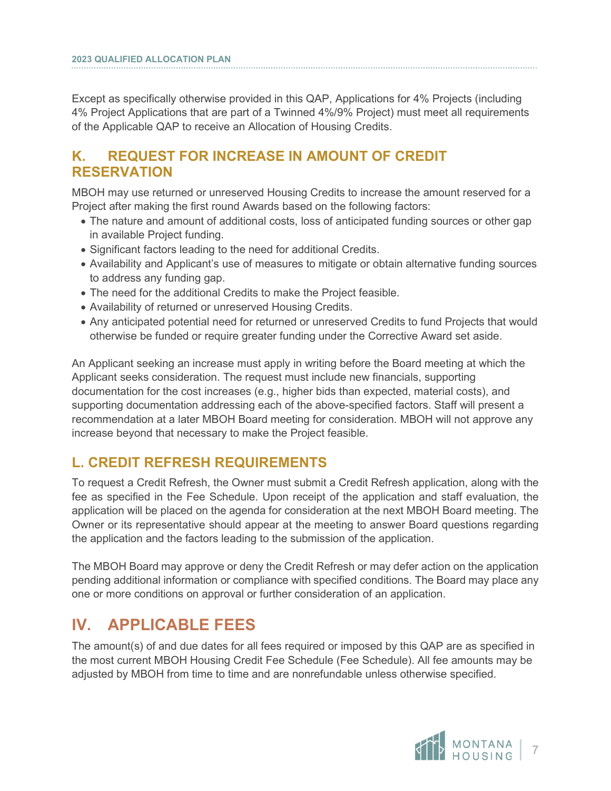Except as specifically otherwise provided in this QAP, Applications for 4% Projects (including 4% Project Applications that are part of a Twinned 4%/9% Project) must meet all requirements of the Applicable QAP to receive an Allocation of Housing Credits.

## <span id="page-9-0"></span>**K. REQUEST FOR INCREASE IN AMOUNT OF CREDIT RESERVATION**

MBOH may use returned or unreserved Housing Credits to increase the amount reserved for a Project after making the first round Awards based on the following factors:

- The nature and amount of additional costs, loss of anticipated funding sources or other gap in available Project funding.
- Significant factors leading to the need for additional Credits.
- Availability and Applicant's use of measures to mitigate or obtain alternative funding sources to address any funding gap.
- The need for the additional Credits to make the Project feasible.
- Availability of returned or unreserved Housing Credits.
- Any anticipated potential need for returned or unreserved Credits to fund Projects that would otherwise be funded or require greater funding under the Corrective Award set aside.

An Applicant seeking an increase must apply in writing before the Board meeting at which the Applicant seeks consideration. The request must include new financials, supporting documentation for the cost increases (e.g., higher bids than expected, material costs), and supporting documentation addressing each of the above-specified factors. Staff will present a recommendation at a later MBOH Board meeting for consideration. MBOH will not approve any increase beyond that necessary to make the Project feasible.

## <span id="page-9-1"></span>**L. CREDIT REFRESH REQUIREMENTS**

To request a Credit Refresh, the Owner must submit a Credit Refresh application, along with the fee as specified in the Fee Schedule. Upon receipt of the application and staff evaluation, the application will be placed on the agenda for consideration at the next MBOH Board meeting. The Owner or its representative should appear at the meeting to answer Board questions regarding the application and the factors leading to the submission of the application.

The MBOH Board may approve or deny the Credit Refresh or may defer action on the application pending additional information or compliance with specified conditions. The Board may place any one or more conditions on approval or further consideration of an application.

# <span id="page-9-2"></span>**IV. APPLICABLE FEES**

The amount(s) of and due dates for all fees required or imposed by this QAP are as specified in the most current MBOH Housing Credit Fee Schedule (Fee Schedule). All fee amounts may be adjusted by MBOH from time to time and are nonrefundable unless otherwise specified.

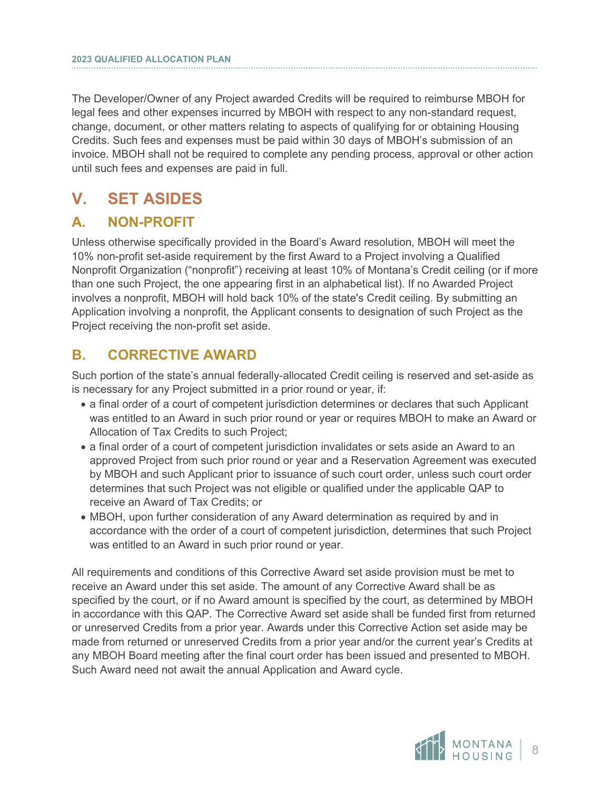The Developer/Owner of any Project awarded Credits will be required to reimburse MBOH for legal fees and other expenses incurred by MBOH with respect to any non-standard request, change, document, or other matters relating to aspects of qualifying for or obtaining Housing Credits. Such fees and expenses must be paid within 30 days of MBOH's submission of an invoice. MBOH shall not be required to complete any pending process, approval or other action until such fees and expenses are paid in full.

# <span id="page-10-0"></span>**V. SET ASIDES**

## <span id="page-10-1"></span>**A. NON-PROFIT**

Unless otherwise specifically provided in the Board's Award resolution, MBOH will meet the 10% non-profit set-aside requirement by the first Award to a Project involving a Qualified Nonprofit Organization ("nonprofit") receiving at least 10% of Montana's Credit ceiling (or if more than one such Project, the one appearing first in an alphabetical list). If no Awarded Project involves a nonprofit, MBOH will hold back 10% of the state's Credit ceiling. By submitting an Application involving a nonprofit, the Applicant consents to designation of such Project as the Project receiving the non-profit set aside.

## <span id="page-10-2"></span>**B. CORRECTIVE AWARD**

Such portion of the state's annual federally-allocated Credit ceiling is reserved and set-aside as is necessary for any Project submitted in a prior round or year, if:

- a final order of a court of competent jurisdiction determines or declares that such Applicant was entitled to an Award in such prior round or year or requires MBOH to make an Award or Allocation of Tax Credits to such Project;
- a final order of a court of competent jurisdiction invalidates or sets aside an Award to an approved Project from such prior round or year and a Reservation Agreement was executed by MBOH and such Applicant prior to issuance of such court order, unless such court order determines that such Project was not eligible or qualified under the applicable QAP to receive an Award of Tax Credits; or
- MBOH, upon further consideration of any Award determination as required by and in accordance with the order of a court of competent jurisdiction, determines that such Project was entitled to an Award in such prior round or year.

All requirements and conditions of this Corrective Award set aside provision must be met to receive an Award under this set aside. The amount of any Corrective Award shall be as specified by the court, or if no Award amount is specified by the court, as determined by MBOH in accordance with this QAP. The Corrective Award set aside shall be funded first from returned or unreserved Credits from a prior year. Awards under this Corrective Action set aside may be made from returned or unreserved Credits from a prior year and/or the current year's Credits at any MBOH Board meeting after the final court order has been issued and presented to MBOH. Such Award need not await the annual Application and Award cycle.

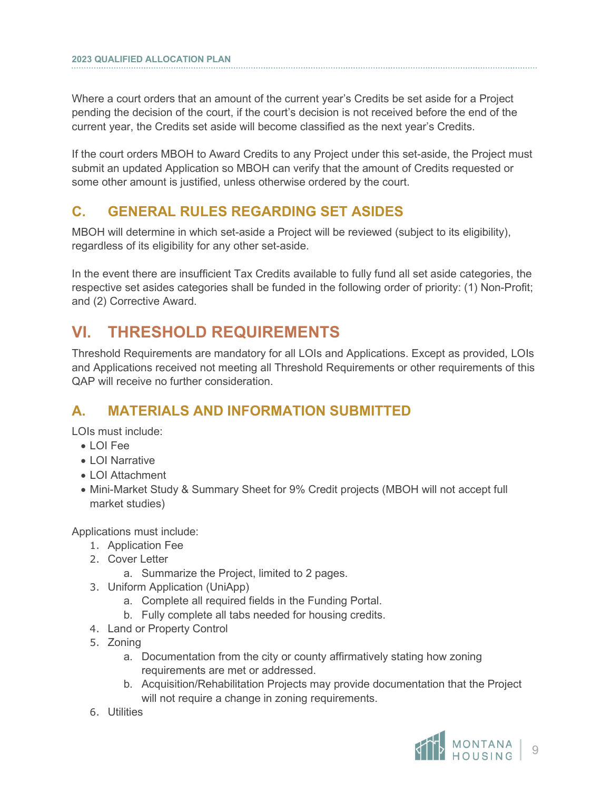Where a court orders that an amount of the current year's Credits be set aside for a Project pending the decision of the court, if the court's decision is not received before the end of the current year, the Credits set aside will become classified as the next year's Credits.

If the court orders MBOH to Award Credits to any Project under this set-aside, the Project must submit an updated Application so MBOH can verify that the amount of Credits requested or some other amount is justified, unless otherwise ordered by the court.

## <span id="page-11-0"></span>**C. GENERAL RULES REGARDING SET ASIDES**

MBOH will determine in which set-aside a Project will be reviewed (subject to its eligibility), regardless of its eligibility for any other set-aside.

In the event there are insufficient Tax Credits available to fully fund all set aside categories, the respective set asides categories shall be funded in the following order of priority: (1) Non-Profit; and (2) Corrective Award.

# <span id="page-11-1"></span>**VI. THRESHOLD REQUIREMENTS**

Threshold Requirements are mandatory for all LOIs and Applications. Except as provided, LOIs and Applications received not meeting all Threshold Requirements or other requirements of this QAP will receive no further consideration.

## <span id="page-11-2"></span>**A. MATERIALS AND INFORMATION SUBMITTED**

LOIs must include:

- LOI Fee
- LOI Narrative
- LOI Attachment
- Mini-Market Study & Summary Sheet for 9% Credit projects (MBOH will not accept full market studies)

Applications must include:

- 1. Application Fee
- 2. Cover Letter
	- a. Summarize the Project, limited to 2 pages.
- 3. Uniform Application (UniApp)
	- a. Complete all required fields in the Funding Portal.
	- b. Fully complete all tabs needed for housing credits.
- 4. Land or Property Control
- 5. Zoning
	- a. Documentation from the city or county affirmatively stating how zoning requirements are met or addressed.
	- b. Acquisition/Rehabilitation Projects may provide documentation that the Project will not require a change in zoning requirements.
- 6. Utilities

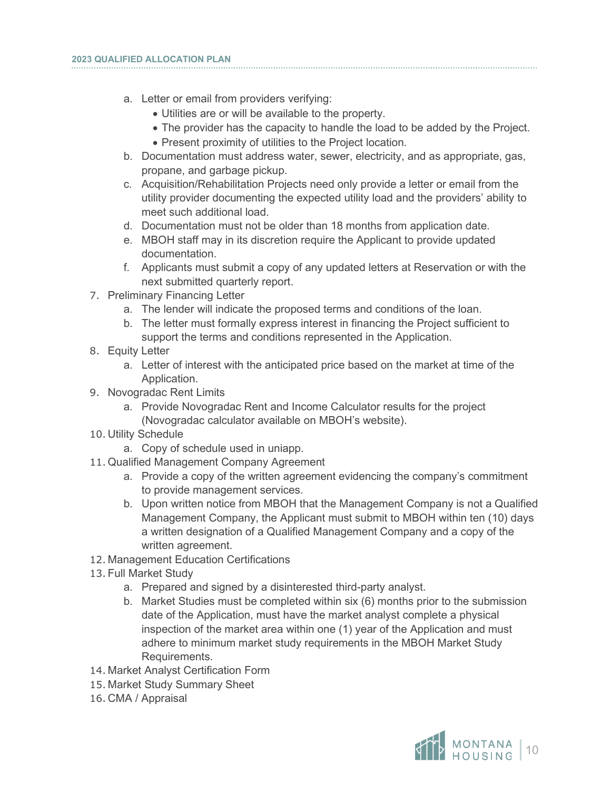- a. Letter or email from providers verifying:
	- Utilities are or will be available to the property.
	- The provider has the capacity to handle the load to be added by the Project.
	- Present proximity of utilities to the Project location.
- b. Documentation must address water, sewer, electricity, and as appropriate, gas, propane, and garbage pickup.
- c. Acquisition/Rehabilitation Projects need only provide a letter or email from the utility provider documenting the expected utility load and the providers' ability to meet such additional load.
- d. Documentation must not be older than 18 months from application date.
- e. MBOH staff may in its discretion require the Applicant to provide updated documentation.
- f. Applicants must submit a copy of any updated letters at Reservation or with the next submitted quarterly report.
- 7. Preliminary Financing Letter
	- a. The lender will indicate the proposed terms and conditions of the loan.
	- b. The letter must formally express interest in financing the Project sufficient to support the terms and conditions represented in the Application.
- 8. Equity Letter
	- a. Letter of interest with the anticipated price based on the market at time of the Application.
- 9. Novogradac Rent Limits
	- a. Provide Novogradac Rent and Income Calculator results for the project (Novogradac calculator available on MBOH's website).
- 10. Utility Schedule
	- a. Copy of schedule used in uniapp.
- 11. Qualified Management Company Agreement
	- a. Provide a copy of the written agreement evidencing the company's commitment to provide management services.
	- b. Upon written notice from MBOH that the Management Company is not a Qualified Management Company, the Applicant must submit to MBOH within ten (10) days a written designation of a Qualified Management Company and a copy of the written agreement.
- 12. Management Education Certifications
- 13. Full Market Study
	- a. Prepared and signed by a disinterested third-party analyst.
	- b. Market Studies must be completed within six (6) months prior to the submission date of the Application, must have the market analyst complete a physical inspection of the market area within one (1) year of the Application and must adhere to minimum market study requirements in the MBOH Market Study Requirements.
- 14. Market Analyst Certification Form
- 15. Market Study Summary Sheet
- 16. CMA / Appraisal

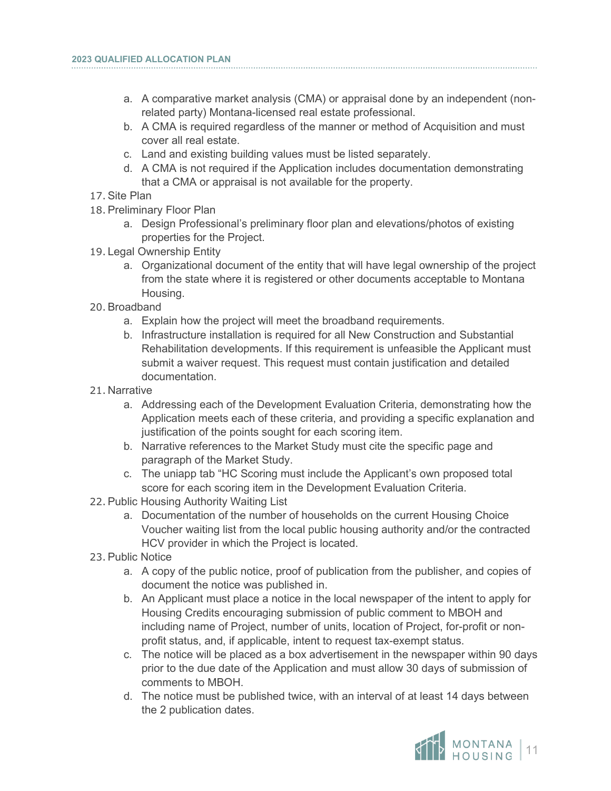- a. A comparative market analysis (CMA) or appraisal done by an independent (nonrelated party) Montana-licensed real estate professional.
- b. A CMA is required regardless of the manner or method of Acquisition and must cover all real estate.
- c. Land and existing building values must be listed separately.
- d. A CMA is not required if the Application includes documentation demonstrating that a CMA or appraisal is not available for the property.
- 17.Site Plan

- 18.Preliminary Floor Plan
	- a. Design Professional's preliminary floor plan and elevations/photos of existing properties for the Project.
- 19. Legal Ownership Entity
	- a. Organizational document of the entity that will have legal ownership of the project from the state where it is registered or other documents acceptable to Montana Housing.
- 20.Broadband
	- a. Explain how the project will meet the broadband requirements.
	- b. Infrastructure installation is required for all New Construction and Substantial Rehabilitation developments. If this requirement is unfeasible the Applicant must submit a waiver request. This request must contain justification and detailed documentation.
- 21. Narrative
	- a. Addressing each of the Development Evaluation Criteria, demonstrating how the Application meets each of these criteria, and providing a specific explanation and justification of the points sought for each scoring item.
	- b. Narrative references to the Market Study must cite the specific page and paragraph of the Market Study.
	- c. The uniapp tab "HC Scoring must include the Applicant's own proposed total score for each scoring item in the Development Evaluation Criteria.
- 22.Public Housing Authority Waiting List
	- a. Documentation of the number of households on the current Housing Choice Voucher waiting list from the local public housing authority and/or the contracted HCV provider in which the Project is located.
- 23.Public Notice
	- a. A copy of the public notice, proof of publication from the publisher, and copies of document the notice was published in.
	- b. An Applicant must place a notice in the local newspaper of the intent to apply for Housing Credits encouraging submission of public comment to MBOH and including name of Project, number of units, location of Project, for-profit or nonprofit status, and, if applicable, intent to request tax-exempt status.
	- c. The notice will be placed as a box advertisement in the newspaper within 90 days prior to the due date of the Application and must allow 30 days of submission of comments to MBOH.
	- d. The notice must be published twice, with an interval of at least 14 days between the 2 publication dates.

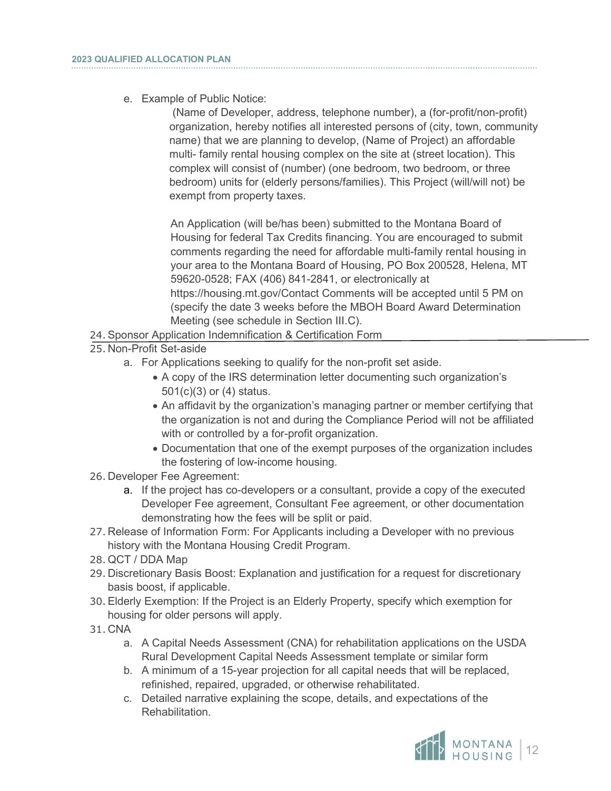e. Example of Public Notice:

(Name of Developer, address, telephone number), a (for-profit/non-profit) organization, hereby notifies all interested persons of (city, town, community name) that we are planning to develop, (Name of Project) an affordable multi- family rental housing complex on the site at (street location). This complex will consist of (number) (one bedroom, two bedroom, or three bedroom) units for (elderly persons/families). This Project (will/will not) be exempt from property taxes.

An Application (will be/has been) submitted to the Montana Board of Housing for federal Tax Credits financing. You are encouraged to submit comments regarding the need for affordable multi-family rental housing in your area to the Montana Board of Housing, PO Box 200528, Helena, MT 59620-0528; FAX (406) 841-2841, or electronically at https://housing.mt.gov/Contact Comments will be accepted until 5 PM on (specify the date 3 weeks before the MBOH Board Award Determination Meeting (see schedule in Section III.C).

- 24.Sponsor Application Indemnification & Certification Form
- 25. Non-Profit Set-aside
	- a. For Applications seeking to qualify for the non-profit set aside.
		- A copy of the IRS determination letter documenting such organization's 501(c)(3) or (4) status.
		- An affidavit by the organization's managing partner or member certifying that the organization is not and during the Compliance Period will not be affiliated with or controlled by a for-profit organization.
		- Documentation that one of the exempt purposes of the organization includes the fostering of low-income housing.
- 26. Developer Fee Agreement:
	- a. If the project has co-developers or a consultant, provide a copy of the executed Developer Fee agreement, Consultant Fee agreement, or other documentation demonstrating how the fees will be split or paid.
- 27. Release of Information Form: For Applicants including a Developer with no previous history with the Montana Housing Credit Program.
- 28. QCT / DDA Map
- 29. Discretionary Basis Boost: Explanation and justification for a request for discretionary basis boost, if applicable.
- 30.Elderly Exemption: If the Project is an Elderly Property, specify which exemption for housing for older persons will apply.
- 31. CNA
	- a. A Capital Needs Assessment (CNA) for rehabilitation applications on the USDA Rural Development Capital Needs Assessment template or similar form
	- b. A minimum of a 15-year projection for all capital needs that will be replaced, refinished, repaired, upgraded, or otherwise rehabilitated.
	- c. Detailed narrative explaining the scope, details, and expectations of the Rehabilitation.

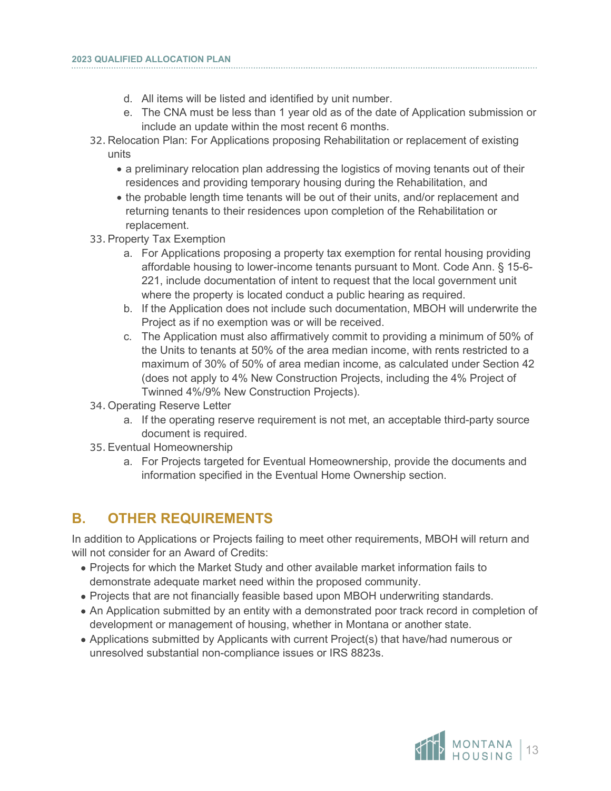- d. All items will be listed and identified by unit number.
- e. The CNA must be less than 1 year old as of the date of Application submission or include an update within the most recent 6 months.
- 32. Relocation Plan: For Applications proposing Rehabilitation or replacement of existing units
	- a preliminary relocation plan addressing the logistics of moving tenants out of their residences and providing temporary housing during the Rehabilitation, and
	- the probable length time tenants will be out of their units, and/or replacement and returning tenants to their residences upon completion of the Rehabilitation or replacement.
- 33.Property Tax Exemption
	- a. For Applications proposing a property tax exemption for rental housing providing affordable housing to lower-income tenants pursuant to Mont. Code Ann. § 15-6- 221, include documentation of intent to request that the local government unit where the property is located conduct a public hearing as required.
	- b. If the Application does not include such documentation, MBOH will underwrite the Project as if no exemption was or will be received.
	- c. The Application must also affirmatively commit to providing a minimum of 50% of the Units to tenants at 50% of the area median income, with rents restricted to a maximum of 30% of 50% of area median income, as calculated under Section 42 (does not apply to 4% New Construction Projects, including the 4% Project of Twinned 4%/9% New Construction Projects).
- 34. Operating Reserve Letter
	- a. If the operating reserve requirement is not met, an acceptable third-party source document is required.
- 35.Eventual Homeownership
	- a. For Projects targeted for Eventual Homeownership, provide the documents and information specified in the Eventual Home Ownership section.

## <span id="page-15-0"></span>**B. OTHER REQUIREMENTS**

In addition to Applications or Projects failing to meet other requirements, MBOH will return and will not consider for an Award of Credits:

- Projects for which the Market Study and other available market information fails to demonstrate adequate market need within the proposed community.
- Projects that are not financially feasible based upon MBOH underwriting standards.
- An Application submitted by an entity with a demonstrated poor track record in completion of development or management of housing, whether in Montana or another state.
- Applications submitted by Applicants with current Project(s) that have/had numerous or unresolved substantial non-compliance issues or IRS 8823s.

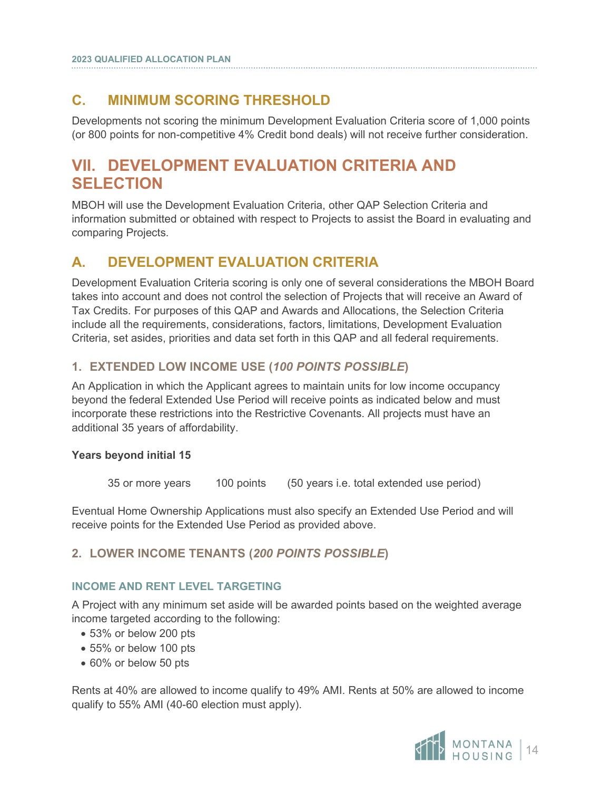## <span id="page-16-0"></span>**C. MINIMUM SCORING THRESHOLD**

Developments not scoring the minimum Development Evaluation Criteria score of 1,000 points (or 800 points for non-competitive 4% Credit bond deals) will not receive further consideration.

# <span id="page-16-1"></span>**VII. DEVELOPMENT EVALUATION CRITERIA AND SELECTION**

MBOH will use the Development Evaluation Criteria, other QAP Selection Criteria and information submitted or obtained with respect to Projects to assist the Board in evaluating and comparing Projects.

## <span id="page-16-2"></span>**A. DEVELOPMENT EVALUATION CRITERIA**

Development Evaluation Criteria scoring is only one of several considerations the MBOH Board takes into account and does not control the selection of Projects that will receive an Award of Tax Credits. For purposes of this QAP and Awards and Allocations, the Selection Criteria include all the requirements, considerations, factors, limitations, Development Evaluation Criteria, set asides, priorities and data set forth in this QAP and all federal requirements.

### **1. EXTENDED LOW INCOME USE (***100 POINTS POSSIBLE***)**

An Application in which the Applicant agrees to maintain units for low income occupancy beyond the federal Extended Use Period will receive points as indicated below and must incorporate these restrictions into the Restrictive Covenants. All projects must have an additional 35 years of affordability.

#### **Years beyond initial 15**

35 or more years 100 points (50 years i.e. total extended use period)

Eventual Home Ownership Applications must also specify an Extended Use Period and will receive points for the Extended Use Period as provided above.

### **2. LOWER INCOME TENANTS (***200 POINTS POSSIBLE***)**

#### **INCOME AND RENT LEVEL TARGETING**

A Project with any minimum set aside will be awarded points based on the weighted average income targeted according to the following:

- 53% or below 200 pts
- 55% or below 100 pts
- 60% or below 50 pts

Rents at 40% are allowed to income qualify to 49% AMI. Rents at 50% are allowed to income qualify to 55% AMI (40-60 election must apply).

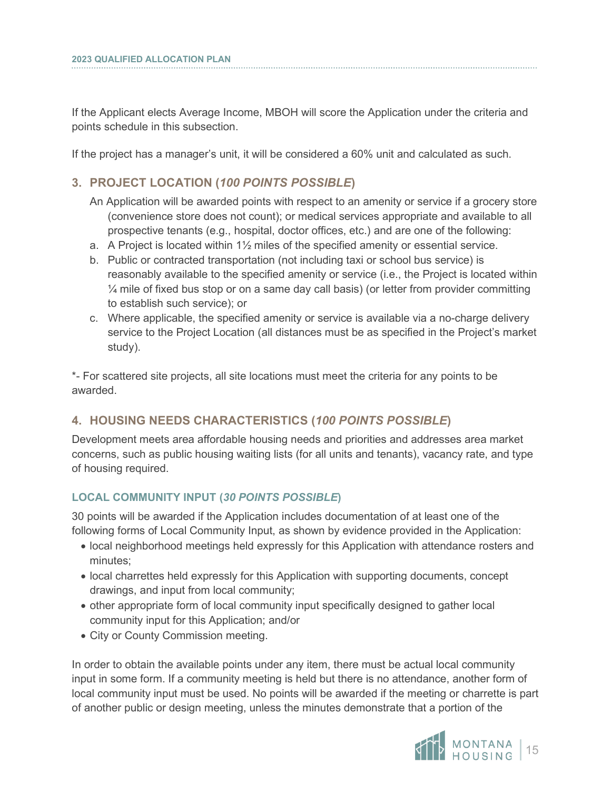If the Applicant elects Average Income, MBOH will score the Application under the criteria and points schedule in this subsection.

If the project has a manager's unit, it will be considered a 60% unit and calculated as such.

#### **3. PROJECT LOCATION (***100 POINTS POSSIBLE***)**

- An Application will be awarded points with respect to an amenity or service if a grocery store (convenience store does not count); or medical services appropriate and available to all prospective tenants (e.g., hospital, doctor offices, etc.) and are one of the following:
- a. A Project is located within 1½ miles of the specified amenity or essential service.
- b. Public or contracted transportation (not including taxi or school bus service) is reasonably available to the specified amenity or service (i.e., the Project is located within ¼ mile of fixed bus stop or on a same day call basis) (or letter from provider committing to establish such service); or
- c. Where applicable, the specified amenity or service is available via a no-charge delivery service to the Project Location (all distances must be as specified in the Project's market study).

\*- For scattered site projects, all site locations must meet the criteria for any points to be awarded.

#### **4. HOUSING NEEDS CHARACTERISTICS (***100 POINTS POSSIBLE***)**

Development meets area affordable housing needs and priorities and addresses area market concerns, such as public housing waiting lists (for all units and tenants), vacancy rate, and type of housing required.

#### **LOCAL COMMUNITY INPUT (***30 POINTS POSSIBLE***)**

30 points will be awarded if the Application includes documentation of at least one of the following forms of Local Community Input, as shown by evidence provided in the Application:

- local neighborhood meetings held expressly for this Application with attendance rosters and minutes;
- local charrettes held expressly for this Application with supporting documents, concept drawings, and input from local community;
- other appropriate form of local community input specifically designed to gather local community input for this Application; and/or
- City or County Commission meeting.

In order to obtain the available points under any item, there must be actual local community input in some form. If a community meeting is held but there is no attendance, another form of local community input must be used. No points will be awarded if the meeting or charrette is part of another public or design meeting, unless the minutes demonstrate that a portion of the

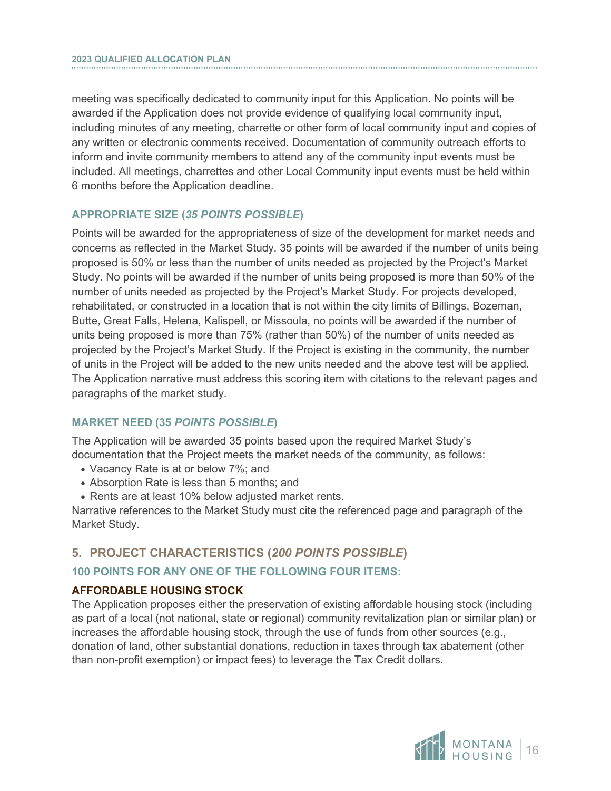meeting was specifically dedicated to community input for this Application. No points will be awarded if the Application does not provide evidence of qualifying local community input, including minutes of any meeting, charrette or other form of local community input and copies of any written or electronic comments received. Documentation of community outreach efforts to inform and invite community members to attend any of the community input events must be included. All meetings, charrettes and other Local Community input events must be held within 6 months before the Application deadline.

#### **APPROPRIATE SIZE (***35 POINTS POSSIBLE***)**

Points will be awarded for the appropriateness of size of the development for market needs and concerns as reflected in the Market Study. 35 points will be awarded if the number of units being proposed is 50% or less than the number of units needed as projected by the Project's Market Study. No points will be awarded if the number of units being proposed is more than 50% of the number of units needed as projected by the Project's Market Study. For projects developed, rehabilitated, or constructed in a location that is not within the city limits of Billings, Bozeman, Butte, Great Falls, Helena, Kalispell, or Missoula, no points will be awarded if the number of units being proposed is more than 75% (rather than 50%) of the number of units needed as projected by the Project's Market Study. If the Project is existing in the community, the number of units in the Project will be added to the new units needed and the above test will be applied. The Application narrative must address this scoring item with citations to the relevant pages and paragraphs of the market study.

#### **MARKET NEED (35** *POINTS POSSIBLE***)**

The Application will be awarded 35 points based upon the required Market Study's documentation that the Project meets the market needs of the community, as follows:

- Vacancy Rate is at or below 7%; and
- Absorption Rate is less than 5 months; and
- Rents are at least 10% below adjusted market rents.

Narrative references to the Market Study must cite the referenced page and paragraph of the Market Study.

#### **5. PROJECT CHARACTERISTICS (***200 POINTS POSSIBLE***)**

#### **100 POINTS FOR ANY ONE OF THE FOLLOWING FOUR ITEMS:**

#### **AFFORDABLE HOUSING STOCK**

The Application proposes either the preservation of existing affordable housing stock (including as part of a local (not national, state or regional) community revitalization plan or similar plan) or increases the affordable housing stock, through the use of funds from other sources (e.g., donation of land, other substantial donations, reduction in taxes through tax abatement (other than non-profit exemption) or impact fees) to leverage the Tax Credit dollars.

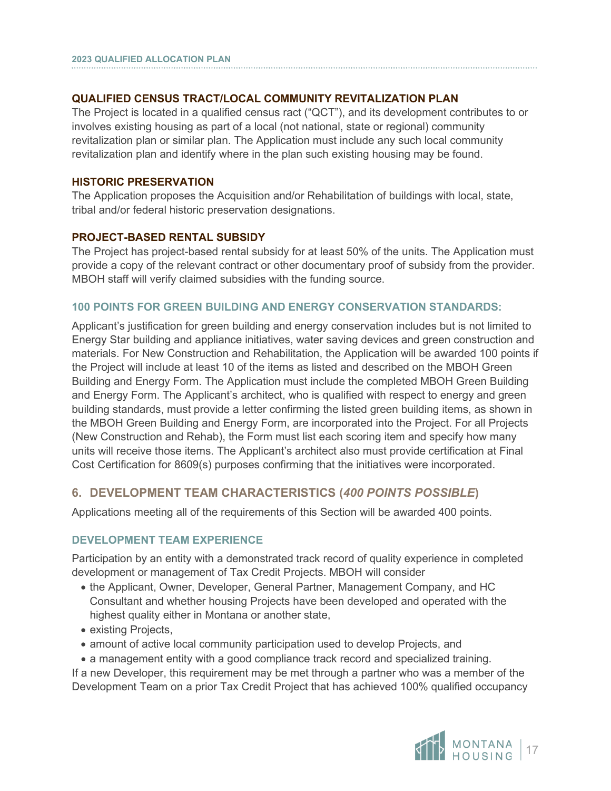#### **QUALIFIED CENSUS TRACT/LOCAL COMMUNITY REVITALIZATION PLAN**

The Project is located in a qualified census ract ("QCT"), and its development contributes to or involves existing housing as part of a local (not national, state or regional) community revitalization plan or similar plan. The Application must include any such local community revitalization plan and identify where in the plan such existing housing may be found.

#### **HISTORIC PRESERVATION**

The Application proposes the Acquisition and/or Rehabilitation of buildings with local, state, tribal and/or federal historic preservation designations.

#### **PROJECT-BASED RENTAL SUBSIDY**

The Project has project-based rental subsidy for at least 50% of the units. The Application must provide a copy of the relevant contract or other documentary proof of subsidy from the provider. MBOH staff will verify claimed subsidies with the funding source.

#### **100 POINTS FOR GREEN BUILDING AND ENERGY CONSERVATION STANDARDS:**

Applicant's justification for green building and energy conservation includes but is not limited to Energy Star building and appliance initiatives, water saving devices and green construction and materials. For New Construction and Rehabilitation, the Application will be awarded 100 points if the Project will include at least 10 of the items as listed and described on the MBOH Green Building and Energy Form. The Application must include the completed MBOH Green Building and Energy Form. The Applicant's architect, who is qualified with respect to energy and green building standards, must provide a letter confirming the listed green building items, as shown in the MBOH Green Building and Energy Form, are incorporated into the Project. For all Projects (New Construction and Rehab), the Form must list each scoring item and specify how many units will receive those items. The Applicant's architect also must provide certification at Final Cost Certification for 8609(s) purposes confirming that the initiatives were incorporated.

#### **6. DEVELOPMENT TEAM CHARACTERISTICS (***400 POINTS POSSIBLE***)**

Applications meeting all of the requirements of this Section will be awarded 400 points.

#### **DEVELOPMENT TEAM EXPERIENCE**

Participation by an entity with a demonstrated track record of quality experience in completed development or management of Tax Credit Projects. MBOH will consider

- the Applicant, Owner, Developer, General Partner, Management Company, and HC Consultant and whether housing Projects have been developed and operated with the highest quality either in Montana or another state,
- existing Projects,
- amount of active local community participation used to develop Projects, and
- a management entity with a good compliance track record and specialized training.

If a new Developer, this requirement may be met through a partner who was a member of the Development Team on a prior Tax Credit Project that has achieved 100% qualified occupancy

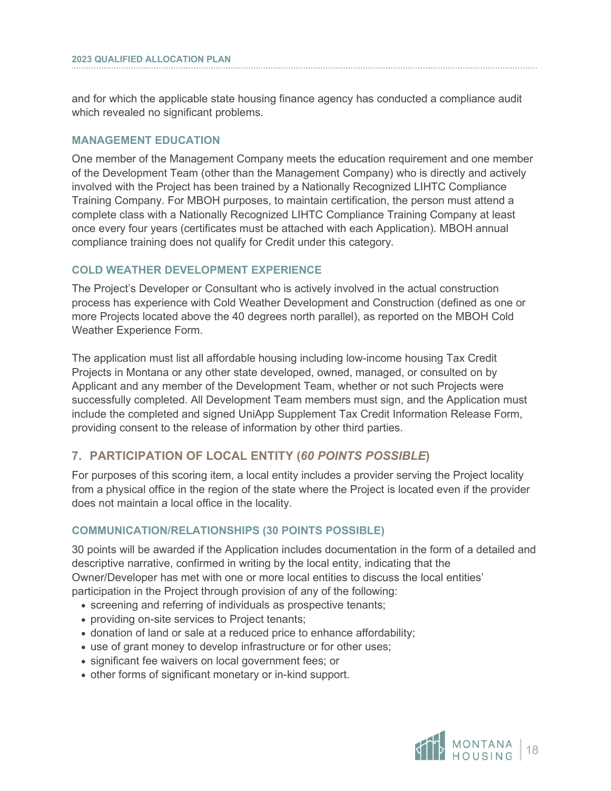and for which the applicable state housing finance agency has conducted a compliance audit which revealed no significant problems.

#### **MANAGEMENT EDUCATION**

One member of the Management Company meets the education requirement and one member of the Development Team (other than the Management Company) who is directly and actively involved with the Project has been trained by a Nationally Recognized LIHTC Compliance Training Company. For MBOH purposes, to maintain certification, the person must attend a complete class with a Nationally Recognized LIHTC Compliance Training Company at least once every four years (certificates must be attached with each Application). MBOH annual compliance training does not qualify for Credit under this category.

#### **COLD WEATHER DEVELOPMENT EXPERIENCE**

The Project's Developer or Consultant who is actively involved in the actual construction process has experience with Cold Weather Development and Construction (defined as one or more Projects located above the 40 degrees north parallel), as reported on the MBOH Cold Weather Experience Form.

The application must list all affordable housing including low-income housing Tax Credit Projects in Montana or any other state developed, owned, managed, or consulted on by Applicant and any member of the Development Team, whether or not such Projects were successfully completed. All Development Team members must sign, and the Application must include the completed and signed UniApp Supplement Tax Credit Information Release Form, providing consent to the release of information by other third parties.

#### **7. PARTICIPATION OF LOCAL ENTITY (***60 POINTS POSSIBLE***)**

For purposes of this scoring item, a local entity includes a provider serving the Project locality from a physical office in the region of the state where the Project is located even if the provider does not maintain a local office in the locality.

#### **COMMUNICATION/RELATIONSHIPS (30 POINTS POSSIBLE)**

30 points will be awarded if the Application includes documentation in the form of a detailed and descriptive narrative, confirmed in writing by the local entity, indicating that the Owner/Developer has met with one or more local entities to discuss the local entities' participation in the Project through provision of any of the following:

- screening and referring of individuals as prospective tenants;
- providing on-site services to Project tenants;
- donation of land or sale at a reduced price to enhance affordability;
- use of grant money to develop infrastructure or for other uses;
- significant fee waivers on local government fees; or
- other forms of significant monetary or in-kind support.

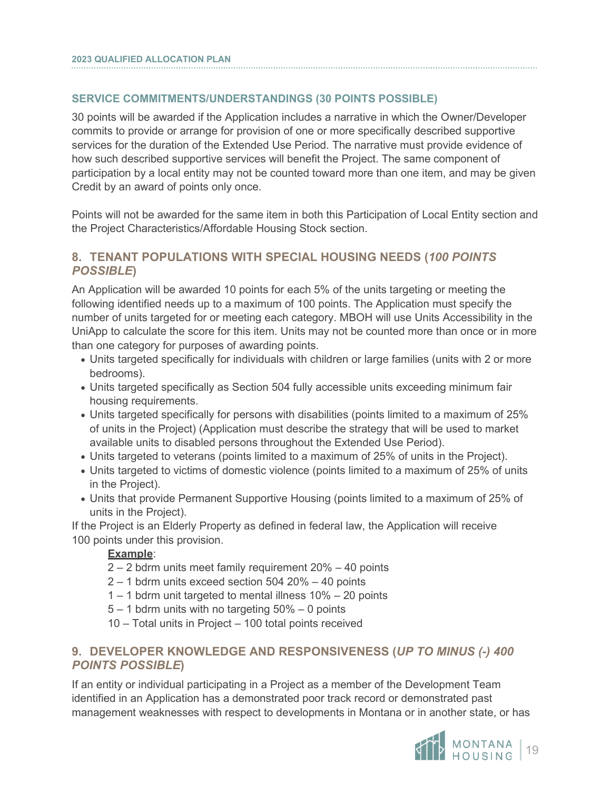#### **SERVICE COMMITMENTS/UNDERSTANDINGS (30 POINTS POSSIBLE)**

30 points will be awarded if the Application includes a narrative in which the Owner/Developer commits to provide or arrange for provision of one or more specifically described supportive services for the duration of the Extended Use Period. The narrative must provide evidence of how such described supportive services will benefit the Project. The same component of participation by a local entity may not be counted toward more than one item, and may be given Credit by an award of points only once.

Points will not be awarded for the same item in both this Participation of Local Entity section and the Project Characteristics/Affordable Housing Stock section.

#### **8. TENANT POPULATIONS WITH SPECIAL HOUSING NEEDS (***100 POINTS POSSIBLE***)**

An Application will be awarded 10 points for each 5% of the units targeting or meeting the following identified needs up to a maximum of 100 points. The Application must specify the number of units targeted for or meeting each category. MBOH will use Units Accessibility in the UniApp to calculate the score for this item. Units may not be counted more than once or in more than one category for purposes of awarding points.

- Units targeted specifically for individuals with children or large families (units with 2 or more bedrooms).
- Units targeted specifically as Section 504 fully accessible units exceeding minimum fair housing requirements.
- Units targeted specifically for persons with disabilities (points limited to a maximum of 25% of units in the Project) (Application must describe the strategy that will be used to market available units to disabled persons throughout the Extended Use Period).
- Units targeted to veterans (points limited to a maximum of 25% of units in the Project).
- Units targeted to victims of domestic violence (points limited to a maximum of 25% of units in the Project).
- Units that provide Permanent Supportive Housing (points limited to a maximum of 25% of units in the Project).

If the Project is an Elderly Property as defined in federal law, the Application will receive 100 points under this provision.

#### **Example**:

- 2 2 bdrm units meet family requirement 20% 40 points
- 2 1 bdrm units exceed section 504 20% 40 points
- 1 1 bdrm unit targeted to mental illness 10% 20 points
- 5 1 bdrm units with no targeting 50% 0 points
- 10 Total units in Project 100 total points received

#### **9. DEVELOPER KNOWLEDGE AND RESPONSIVENESS (***UP TO MINUS (-) 400 POINTS POSSIBLE***)**

If an entity or individual participating in a Project as a member of the Development Team identified in an Application has a demonstrated poor track record or demonstrated past management weaknesses with respect to developments in Montana or in another state, or has

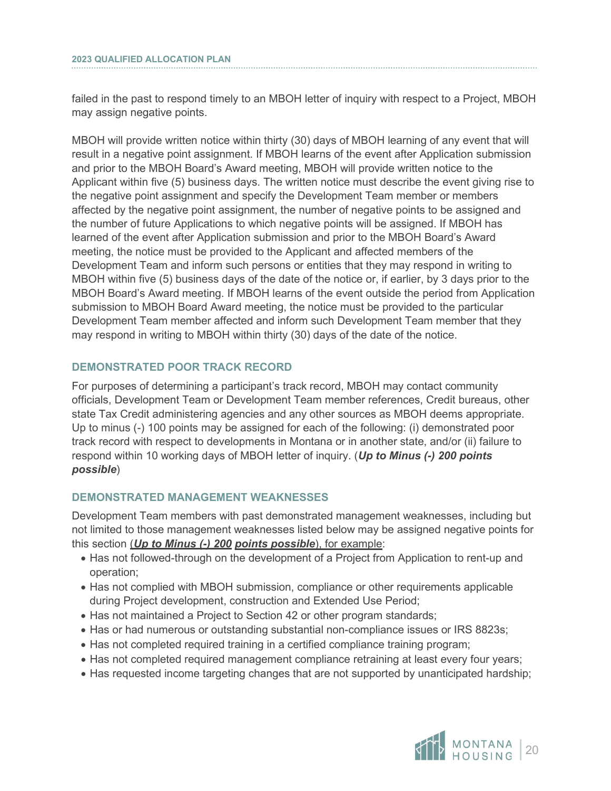failed in the past to respond timely to an MBOH letter of inquiry with respect to a Project, MBOH may assign negative points.

MBOH will provide written notice within thirty (30) days of MBOH learning of any event that will result in a negative point assignment. If MBOH learns of the event after Application submission and prior to the MBOH Board's Award meeting, MBOH will provide written notice to the Applicant within five (5) business days. The written notice must describe the event giving rise to the negative point assignment and specify the Development Team member or members affected by the negative point assignment, the number of negative points to be assigned and the number of future Applications to which negative points will be assigned. If MBOH has learned of the event after Application submission and prior to the MBOH Board's Award meeting, the notice must be provided to the Applicant and affected members of the Development Team and inform such persons or entities that they may respond in writing to MBOH within five (5) business days of the date of the notice or, if earlier, by 3 days prior to the MBOH Board's Award meeting. If MBOH learns of the event outside the period from Application submission to MBOH Board Award meeting, the notice must be provided to the particular Development Team member affected and inform such Development Team member that they may respond in writing to MBOH within thirty (30) days of the date of the notice.

#### **DEMONSTRATED POOR TRACK RECORD**

For purposes of determining a participant's track record, MBOH may contact community officials, Development Team or Development Team member references, Credit bureaus, other state Tax Credit administering agencies and any other sources as MBOH deems appropriate. Up to minus (-) 100 points may be assigned for each of the following: (i) demonstrated poor track record with respect to developments in Montana or in another state, and/or (ii) failure to respond within 10 working days of MBOH letter of inquiry. (*Up to Minus (-) 200 points possible*)

#### **DEMONSTRATED MANAGEMENT WEAKNESSES**

Development Team members with past demonstrated management weaknesses, including but not limited to those management weaknesses listed below may be assigned negative points for this section (*Up to Minus (-) 200 points possible*), for example:

- Has not followed-through on the development of a Project from Application to rent-up and operation;
- Has not complied with MBOH submission, compliance or other requirements applicable during Project development, construction and Extended Use Period;
- Has not maintained a Project to Section 42 or other program standards;
- Has or had numerous or outstanding substantial non-compliance issues or IRS 8823s;
- Has not completed required training in a certified compliance training program;
- Has not completed required management compliance retraining at least every four years;
- Has requested income targeting changes that are not supported by unanticipated hardship;

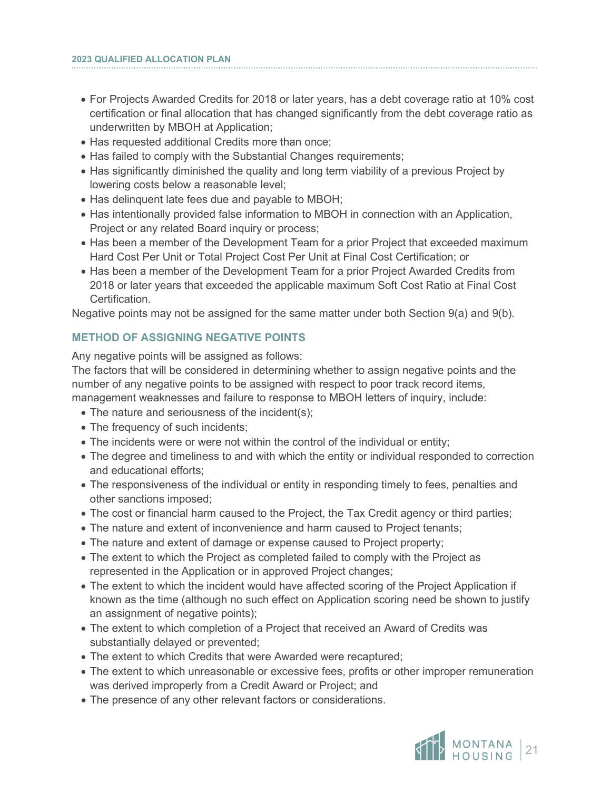- For Projects Awarded Credits for 2018 or later years, has a debt coverage ratio at 10% cost certification or final allocation that has changed significantly from the debt coverage ratio as underwritten by MBOH at Application;
- Has requested additional Credits more than once;
- Has failed to comply with the Substantial Changes requirements;
- Has significantly diminished the quality and long term viability of a previous Project by lowering costs below a reasonable level;
- Has delinquent late fees due and payable to MBOH;
- Has intentionally provided false information to MBOH in connection with an Application, Project or any related Board inquiry or process;
- Has been a member of the Development Team for a prior Project that exceeded maximum Hard Cost Per Unit or Total Project Cost Per Unit at Final Cost Certification; or
- Has been a member of the Development Team for a prior Project Awarded Credits from 2018 or later years that exceeded the applicable maximum Soft Cost Ratio at Final Cost **Certification**

Negative points may not be assigned for the same matter under both Section 9(a) and 9(b).

#### **METHOD OF ASSIGNING NEGATIVE POINTS**

Any negative points will be assigned as follows:

The factors that will be considered in determining whether to assign negative points and the number of any negative points to be assigned with respect to poor track record items, management weaknesses and failure to response to MBOH letters of inquiry, include:

- The nature and seriousness of the incident(s);
- The frequency of such incidents;
- The incidents were or were not within the control of the individual or entity;
- The degree and timeliness to and with which the entity or individual responded to correction and educational efforts;
- The responsiveness of the individual or entity in responding timely to fees, penalties and other sanctions imposed;
- The cost or financial harm caused to the Project, the Tax Credit agency or third parties;
- The nature and extent of inconvenience and harm caused to Project tenants;
- The nature and extent of damage or expense caused to Project property;
- The extent to which the Project as completed failed to comply with the Project as represented in the Application or in approved Project changes;
- The extent to which the incident would have affected scoring of the Project Application if known as the time (although no such effect on Application scoring need be shown to justify an assignment of negative points);
- The extent to which completion of a Project that received an Award of Credits was substantially delayed or prevented;
- The extent to which Credits that were Awarded were recaptured;
- The extent to which unreasonable or excessive fees, profits or other improper remuneration was derived improperly from a Credit Award or Project; and
- The presence of any other relevant factors or considerations.

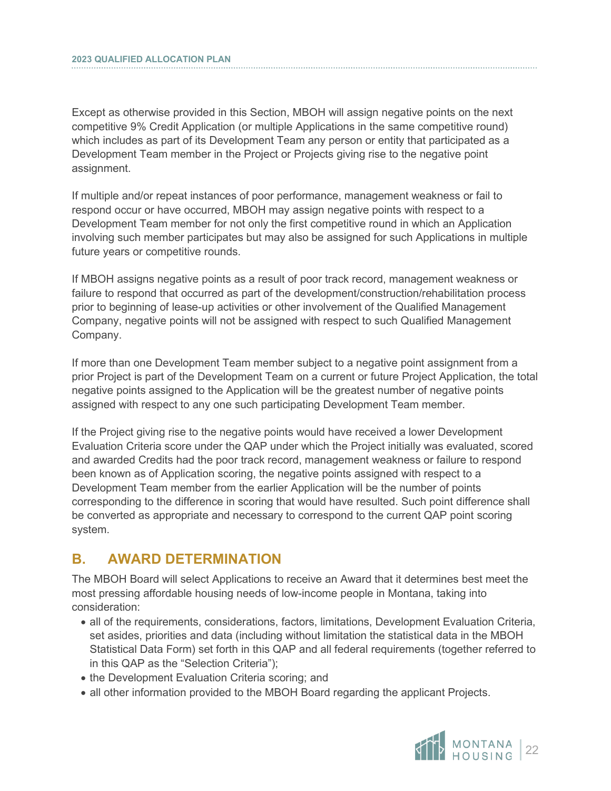Except as otherwise provided in this Section, MBOH will assign negative points on the next competitive 9% Credit Application (or multiple Applications in the same competitive round) which includes as part of its Development Team any person or entity that participated as a Development Team member in the Project or Projects giving rise to the negative point assignment.

If multiple and/or repeat instances of poor performance, management weakness or fail to respond occur or have occurred, MBOH may assign negative points with respect to a Development Team member for not only the first competitive round in which an Application involving such member participates but may also be assigned for such Applications in multiple future years or competitive rounds.

If MBOH assigns negative points as a result of poor track record, management weakness or failure to respond that occurred as part of the development/construction/rehabilitation process prior to beginning of lease-up activities or other involvement of the Qualified Management Company, negative points will not be assigned with respect to such Qualified Management Company.

If more than one Development Team member subject to a negative point assignment from a prior Project is part of the Development Team on a current or future Project Application, the total negative points assigned to the Application will be the greatest number of negative points assigned with respect to any one such participating Development Team member.

If the Project giving rise to the negative points would have received a lower Development Evaluation Criteria score under the QAP under which the Project initially was evaluated, scored and awarded Credits had the poor track record, management weakness or failure to respond been known as of Application scoring, the negative points assigned with respect to a Development Team member from the earlier Application will be the number of points corresponding to the difference in scoring that would have resulted. Such point difference shall be converted as appropriate and necessary to correspond to the current QAP point scoring system.

## <span id="page-24-0"></span>**B. AWARD DETERMINATION**

The MBOH Board will select Applications to receive an Award that it determines best meet the most pressing affordable housing needs of low-income people in Montana, taking into consideration:

- all of the requirements, considerations, factors, limitations, Development Evaluation Criteria, set asides, priorities and data (including without limitation the statistical data in the MBOH Statistical Data Form) set forth in this QAP and all federal requirements (together referred to in this QAP as the "Selection Criteria");
- the Development Evaluation Criteria scoring; and
- all other information provided to the MBOH Board regarding the applicant Projects.

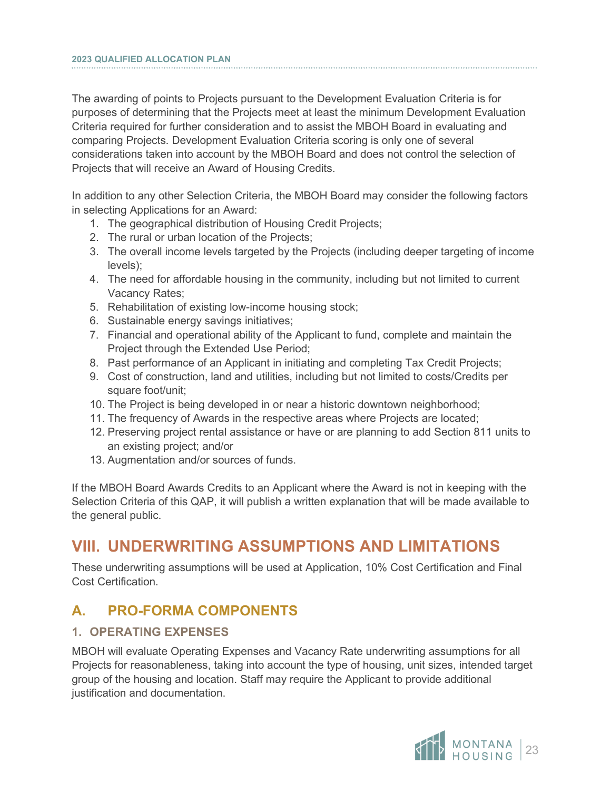The awarding of points to Projects pursuant to the Development Evaluation Criteria is for purposes of determining that the Projects meet at least the minimum Development Evaluation Criteria required for further consideration and to assist the MBOH Board in evaluating and comparing Projects. Development Evaluation Criteria scoring is only one of several considerations taken into account by the MBOH Board and does not control the selection of Projects that will receive an Award of Housing Credits.

In addition to any other Selection Criteria, the MBOH Board may consider the following factors in selecting Applications for an Award:

- 1. The geographical distribution of Housing Credit Projects;
- 2. The rural or urban location of the Projects;
- 3. The overall income levels targeted by the Projects (including deeper targeting of income levels);
- 4. The need for affordable housing in the community, including but not limited to current Vacancy Rates;
- 5. Rehabilitation of existing low-income housing stock;
- 6. Sustainable energy savings initiatives;
- 7. Financial and operational ability of the Applicant to fund, complete and maintain the Project through the Extended Use Period;
- 8. Past performance of an Applicant in initiating and completing Tax Credit Projects;
- 9. Cost of construction, land and utilities, including but not limited to costs/Credits per square foot/unit;
- 10. The Project is being developed in or near a historic downtown neighborhood;
- 11. The frequency of Awards in the respective areas where Projects are located;
- 12. Preserving project rental assistance or have or are planning to add Section 811 units to an existing project; and/or
- 13. Augmentation and/or sources of funds.

If the MBOH Board Awards Credits to an Applicant where the Award is not in keeping with the Selection Criteria of this QAP, it will publish a written explanation that will be made available to the general public.

# <span id="page-25-0"></span>**VIII. UNDERWRITING ASSUMPTIONS AND LIMITATIONS**

These underwriting assumptions will be used at Application, 10% Cost Certification and Final Cost Certification.

## <span id="page-25-1"></span>**A. PRO-FORMA COMPONENTS**

#### **1. OPERATING EXPENSES**

MBOH will evaluate Operating Expenses and Vacancy Rate underwriting assumptions for all Projects for reasonableness, taking into account the type of housing, unit sizes, intended target group of the housing and location. Staff may require the Applicant to provide additional justification and documentation.

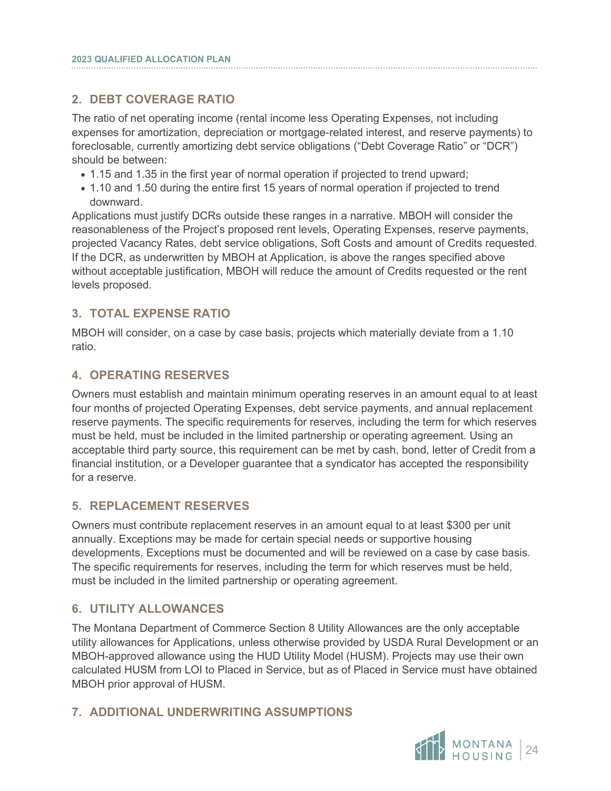### **2. DEBT COVERAGE RATIO**

The ratio of net operating income (rental income less Operating Expenses, not including expenses for amortization, depreciation or mortgage-related interest, and reserve payments) to foreclosable, currently amortizing debt service obligations ("Debt Coverage Ratio" or "DCR") should be between:

- 1.15 and 1.35 in the first year of normal operation if projected to trend upward;
- 1.10 and 1.50 during the entire first 15 years of normal operation if projected to trend downward.

Applications must justify DCRs outside these ranges in a narrative. MBOH will consider the reasonableness of the Project's proposed rent levels, Operating Expenses, reserve payments, projected Vacancy Rates, debt service obligations, Soft Costs and amount of Credits requested. If the DCR, as underwritten by MBOH at Application, is above the ranges specified above without acceptable justification, MBOH will reduce the amount of Credits requested or the rent levels proposed.

#### **3. TOTAL EXPENSE RATIO**

MBOH will consider, on a case by case basis, projects which materially deviate from a 1.10 ratio.

#### **4. OPERATING RESERVES**

Owners must establish and maintain minimum operating reserves in an amount equal to at least four months of projected Operating Expenses, debt service payments, and annual replacement reserve payments. The specific requirements for reserves, including the term for which reserves must be held, must be included in the limited partnership or operating agreement. Using an acceptable third party source, this requirement can be met by cash, bond, letter of Credit from a financial institution, or a Developer guarantee that a syndicator has accepted the responsibility for a reserve.

#### **5. REPLACEMENT RESERVES**

Owners must contribute replacement reserves in an amount equal to at least \$300 per unit annually. Exceptions may be made for certain special needs or supportive housing developments. Exceptions must be documented and will be reviewed on a case by case basis. The specific requirements for reserves, including the term for which reserves must be held, must be included in the limited partnership or operating agreement.

#### **6. UTILITY ALLOWANCES**

The Montana Department of Commerce Section 8 Utility Allowances are the only acceptable utility allowances for Applications, unless otherwise provided by USDA Rural Development or an MBOH-approved allowance using the HUD Utility Model (HUSM). Projects may use their own calculated HUSM from LOI to Placed in Service, but as of Placed in Service must have obtained MBOH prior approval of HUSM.

#### **7. ADDITIONAL UNDERWRITING ASSUMPTIONS**

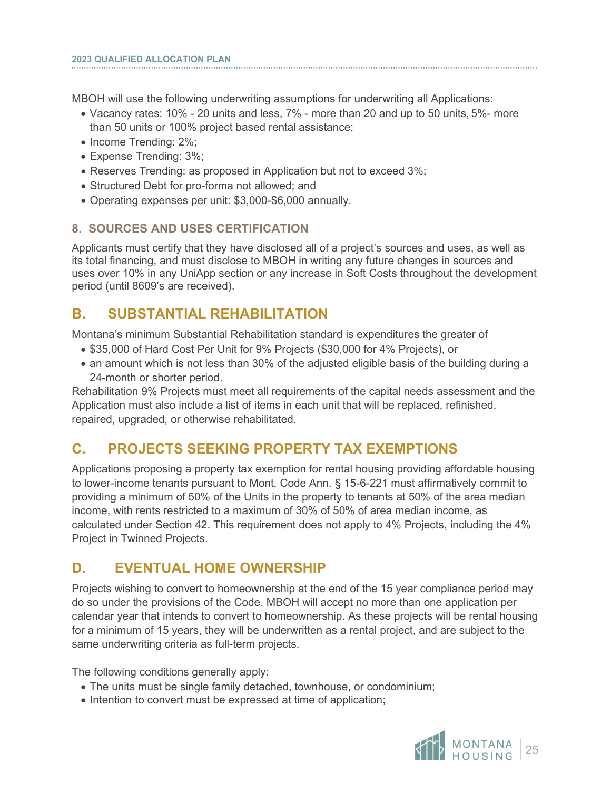MBOH will use the following underwriting assumptions for underwriting all Applications:

- Vacancy rates: 10% 20 units and less, 7% more than 20 and up to 50 units, 5%- more than 50 units or 100% project based rental assistance;
- Income Trending: 2%;

i

- Expense Trending: 3%;
- Reserves Trending: as proposed in Application but not to exceed 3%;
- Structured Debt for pro-forma not allowed; and
- Operating expenses per unit: \$3,000-\$6,000 annually.

#### **8. SOURCES AND USES CERTIFICATION**

Applicants must certify that they have disclosed all of a project's sources and uses, as well as its total financing, and must disclose to MBOH in writing any future changes in sources and uses over 10% in any UniApp section or any increase in Soft Costs throughout the development period (until 8609's are received).

## <span id="page-27-0"></span>**B. SUBSTANTIAL REHABILITATION**

Montana's minimum Substantial Rehabilitation standard is expenditures the greater of

- \$35,000 of Hard Cost Per Unit for 9% Projects (\$30,000 for 4% Projects), or
- an amount which is not less than 30% of the adjusted eligible basis of the building during a 24-month or shorter period.

Rehabilitation 9% Projects must meet all requirements of the capital needs assessment and the Application must also include a list of items in each unit that will be replaced, refinished, repaired, upgraded, or otherwise rehabilitated.

## <span id="page-27-1"></span>**C. PROJECTS SEEKING PROPERTY TAX EXEMPTIONS**

Applications proposing a property tax exemption for rental housing providing affordable housing to lower-income tenants pursuant to Mont. Code Ann. § 15-6-221 must affirmatively commit to providing a minimum of 50% of the Units in the property to tenants at 50% of the area median income, with rents restricted to a maximum of 30% of 50% of area median income, as calculated under Section 42. This requirement does not apply to 4% Projects, including the 4% Project in Twinned Projects.

## <span id="page-27-2"></span>**D. EVENTUAL HOME OWNERSHIP**

Projects wishing to convert to homeownership at the end of the 15 year compliance period may do so under the provisions of the Code. MBOH will accept no more than one application per calendar year that intends to convert to homeownership. As these projects will be rental housing for a minimum of 15 years, they will be underwritten as a rental project, and are subject to the same underwriting criteria as full-term projects.

The following conditions generally apply:

- The units must be single family detached, townhouse, or condominium;
- Intention to convert must be expressed at time of application;

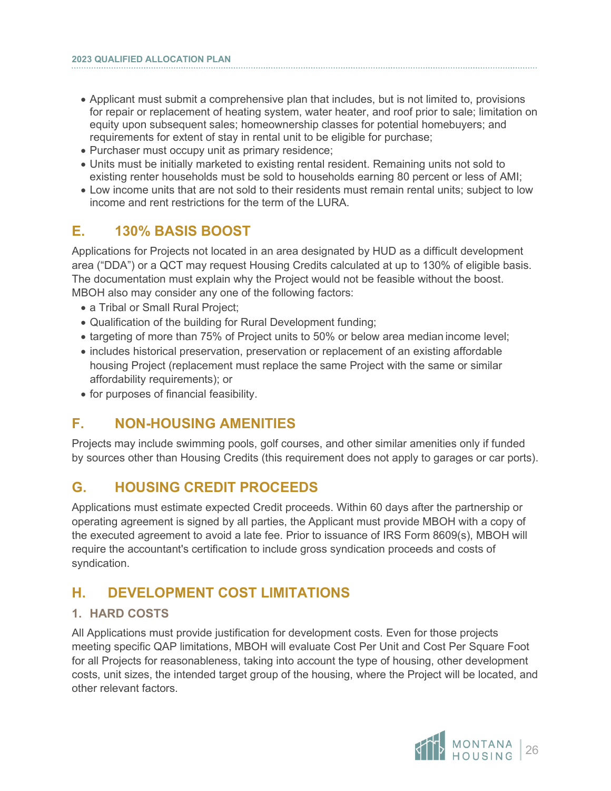- Applicant must submit a comprehensive plan that includes, but is not limited to, provisions for repair or replacement of heating system, water heater, and roof prior to sale; limitation on equity upon subsequent sales; homeownership classes for potential homebuyers; and requirements for extent of stay in rental unit to be eligible for purchase;
- Purchaser must occupy unit as primary residence;
- Units must be initially marketed to existing rental resident. Remaining units not sold to existing renter households must be sold to households earning 80 percent or less of AMI;
- Low income units that are not sold to their residents must remain rental units; subject to low income and rent restrictions for the term of the LURA.

## <span id="page-28-0"></span>**E. 130% BASIS BOOST**

Applications for Projects not located in an area designated by HUD as a difficult development area ("DDA") or a QCT may request Housing Credits calculated at up to 130% of eligible basis. The documentation must explain why the Project would not be feasible without the boost. MBOH also may consider any one of the following factors:

- a Tribal or Small Rural Project;
- Qualification of the building for Rural Development funding;
- targeting of more than 75% of Project units to 50% or below area median income level;
- includes historical preservation, preservation or replacement of an existing affordable housing Project (replacement must replace the same Project with the same or similar affordability requirements); or
- for purposes of financial feasibility.

## <span id="page-28-1"></span>**F. NON-HOUSING AMENITIES**

Projects may include swimming pools, golf courses, and other similar amenities only if funded by sources other than Housing Credits (this requirement does not apply to garages or car ports).

### <span id="page-28-2"></span>**G. HOUSING CREDIT PROCEEDS**

Applications must estimate expected Credit proceeds. Within 60 days after the partnership or operating agreement is signed by all parties, the Applicant must provide MBOH with a copy of the executed agreement to avoid a late fee. Prior to issuance of IRS Form 8609(s), MBOH will require the accountant's certification to include gross syndication proceeds and costs of syndication.

## <span id="page-28-3"></span>**H. DEVELOPMENT COST LIMITATIONS**

#### **1. HARD COSTS**

All Applications must provide justification for development costs. Even for those projects meeting specific QAP limitations, MBOH will evaluate Cost Per Unit and Cost Per Square Foot for all Projects for reasonableness, taking into account the type of housing, other development costs, unit sizes, the intended target group of the housing, where the Project will be located, and other relevant factors.

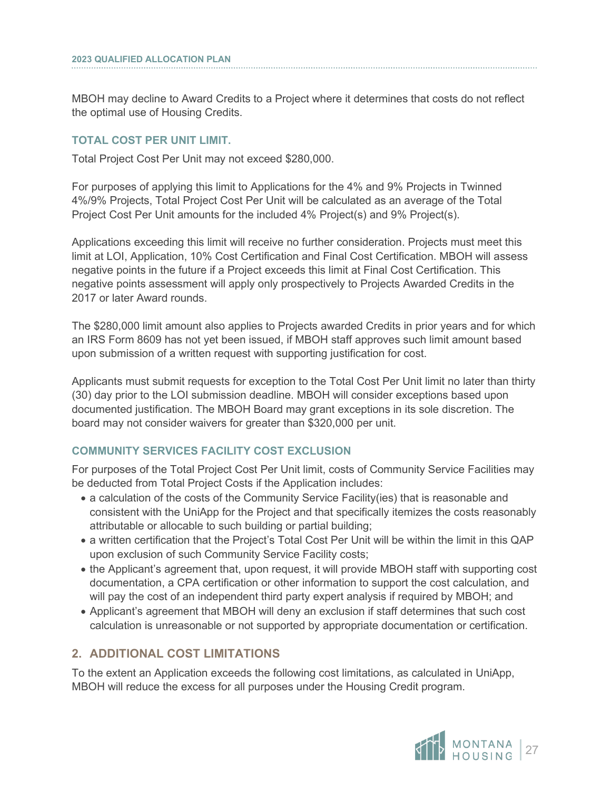MBOH may decline to Award Credits to a Project where it determines that costs do not reflect the optimal use of Housing Credits.

#### **TOTAL COST PER UNIT LIMIT.**

Total Project Cost Per Unit may not exceed \$280,000.

For purposes of applying this limit to Applications for the 4% and 9% Projects in Twinned 4%/9% Projects, Total Project Cost Per Unit will be calculated as an average of the Total Project Cost Per Unit amounts for the included 4% Project(s) and 9% Project(s).

Applications exceeding this limit will receive no further consideration. Projects must meet this limit at LOI, Application, 10% Cost Certification and Final Cost Certification. MBOH will assess negative points in the future if a Project exceeds this limit at Final Cost Certification. This negative points assessment will apply only prospectively to Projects Awarded Credits in the 2017 or later Award rounds.

The \$280,000 limit amount also applies to Projects awarded Credits in prior years and for which an IRS Form 8609 has not yet been issued, if MBOH staff approves such limit amount based upon submission of a written request with supporting justification for cost.

Applicants must submit requests for exception to the Total Cost Per Unit limit no later than thirty (30) day prior to the LOI submission deadline. MBOH will consider exceptions based upon documented justification. The MBOH Board may grant exceptions in its sole discretion. The board may not consider waivers for greater than \$320,000 per unit.

#### **COMMUNITY SERVICES FACILITY COST EXCLUSION**

For purposes of the Total Project Cost Per Unit limit, costs of Community Service Facilities may be deducted from Total Project Costs if the Application includes:

- a calculation of the costs of the Community Service Facility(ies) that is reasonable and consistent with the UniApp for the Project and that specifically itemizes the costs reasonably attributable or allocable to such building or partial building;
- a written certification that the Project's Total Cost Per Unit will be within the limit in this QAP upon exclusion of such Community Service Facility costs;
- the Applicant's agreement that, upon request, it will provide MBOH staff with supporting cost documentation, a CPA certification or other information to support the cost calculation, and will pay the cost of an independent third party expert analysis if required by MBOH; and
- Applicant's agreement that MBOH will deny an exclusion if staff determines that such cost calculation is unreasonable or not supported by appropriate documentation or certification.

### **2. ADDITIONAL COST LIMITATIONS**

To the extent an Application exceeds the following cost limitations, as calculated in UniApp, MBOH will reduce the excess for all purposes under the Housing Credit program.

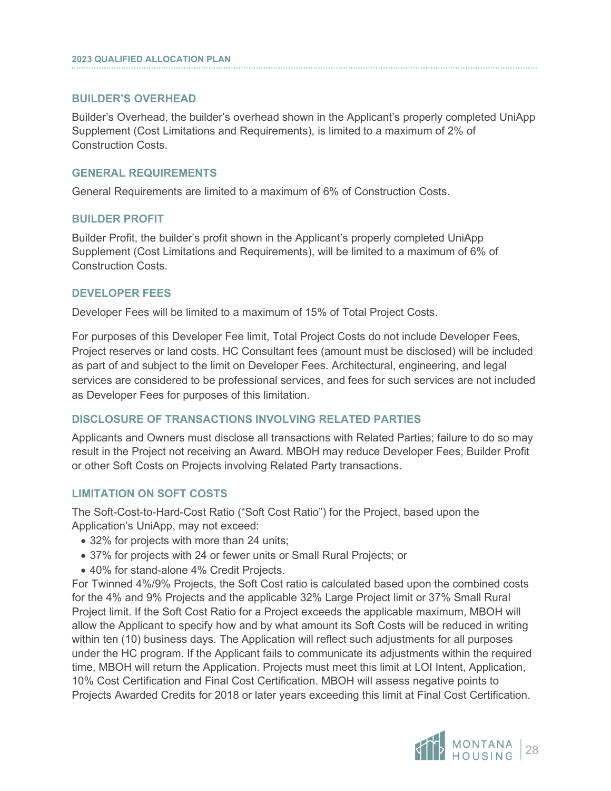#### **BUILDER'S OVERHEAD**

i

Builder's Overhead, the builder's overhead shown in the Applicant's properly completed UniApp Supplement (Cost Limitations and Requirements), is limited to a maximum of 2% of Construction Costs.

#### **GENERAL REQUIREMENTS**

General Requirements are limited to a maximum of 6% of Construction Costs.

#### **BUILDER PROFIT**

Builder Profit, the builder's profit shown in the Applicant's properly completed UniApp Supplement (Cost Limitations and Requirements), will be limited to a maximum of 6% of Construction Costs.

#### **DEVELOPER FEES**

Developer Fees will be limited to a maximum of 15% of Total Project Costs.

For purposes of this Developer Fee limit, Total Project Costs do not include Developer Fees, Project reserves or land costs. HC Consultant fees (amount must be disclosed) will be included as part of and subject to the limit on Developer Fees. Architectural, engineering, and legal services are considered to be professional services, and fees for such services are not included as Developer Fees for purposes of this limitation.

#### **DISCLOSURE OF TRANSACTIONS INVOLVING RELATED PARTIES**

Applicants and Owners must disclose all transactions with Related Parties; failure to do so may result in the Project not receiving an Award. MBOH may reduce Developer Fees, Builder Profit or other Soft Costs on Projects involving Related Party transactions.

#### **LIMITATION ON SOFT COSTS**

The Soft-Cost-to-Hard-Cost Ratio ("Soft Cost Ratio") for the Project, based upon the Application's UniApp, may not exceed:

- 32% for projects with more than 24 units;
- 37% for projects with 24 or fewer units or Small Rural Projects; or
- 40% for stand-alone 4% Credit Projects.

For Twinned 4%/9% Projects, the Soft Cost ratio is calculated based upon the combined costs for the 4% and 9% Projects and the applicable 32% Large Project limit or 37% Small Rural Project limit. If the Soft Cost Ratio for a Project exceeds the applicable maximum, MBOH will allow the Applicant to specify how and by what amount its Soft Costs will be reduced in writing within ten (10) business days. The Application will reflect such adjustments for all purposes under the HC program. If the Applicant fails to communicate its adjustments within the required time, MBOH will return the Application. Projects must meet this limit at LOI Intent, Application, 10% Cost Certification and Final Cost Certification. MBOH will assess negative points to Projects Awarded Credits for 2018 or later years exceeding this limit at Final Cost Certification.

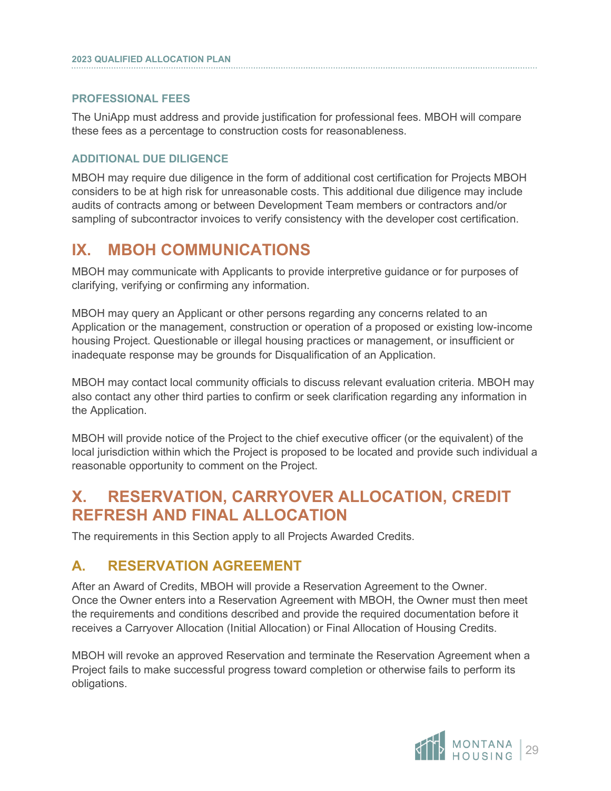#### **PROFESSIONAL FEES**

i

The UniApp must address and provide justification for professional fees. MBOH will compare these fees as a percentage to construction costs for reasonableness.

#### **ADDITIONAL DUE DILIGENCE**

MBOH may require due diligence in the form of additional cost certification for Projects MBOH considers to be at high risk for unreasonable costs. This additional due diligence may include audits of contracts among or between Development Team members or contractors and/or sampling of subcontractor invoices to verify consistency with the developer cost certification.

# <span id="page-31-0"></span>**IX. MBOH COMMUNICATIONS**

MBOH may communicate with Applicants to provide interpretive guidance or for purposes of clarifying, verifying or confirming any information.

MBOH may query an Applicant or other persons regarding any concerns related to an Application or the management, construction or operation of a proposed or existing low-income housing Project. Questionable or illegal housing practices or management, or insufficient or inadequate response may be grounds for Disqualification of an Application.

MBOH may contact local community officials to discuss relevant evaluation criteria. MBOH may also contact any other third parties to confirm or seek clarification regarding any information in the Application.

MBOH will provide notice of the Project to the chief executive officer (or the equivalent) of the local jurisdiction within which the Project is proposed to be located and provide such individual a reasonable opportunity to comment on the Project.

# <span id="page-31-1"></span>**X. RESERVATION, CARRYOVER ALLOCATION, CREDIT REFRESH AND FINAL ALLOCATION**

The requirements in this Section apply to all Projects Awarded Credits.

## <span id="page-31-2"></span>**A. RESERVATION AGREEMENT**

After an Award of Credits, MBOH will provide a Reservation Agreement to the Owner. Once the Owner enters into a Reservation Agreement with MBOH, the Owner must then meet the requirements and conditions described and provide the required documentation before it receives a Carryover Allocation (Initial Allocation) or Final Allocation of Housing Credits.

MBOH will revoke an approved Reservation and terminate the Reservation Agreement when a Project fails to make successful progress toward completion or otherwise fails to perform its obligations.

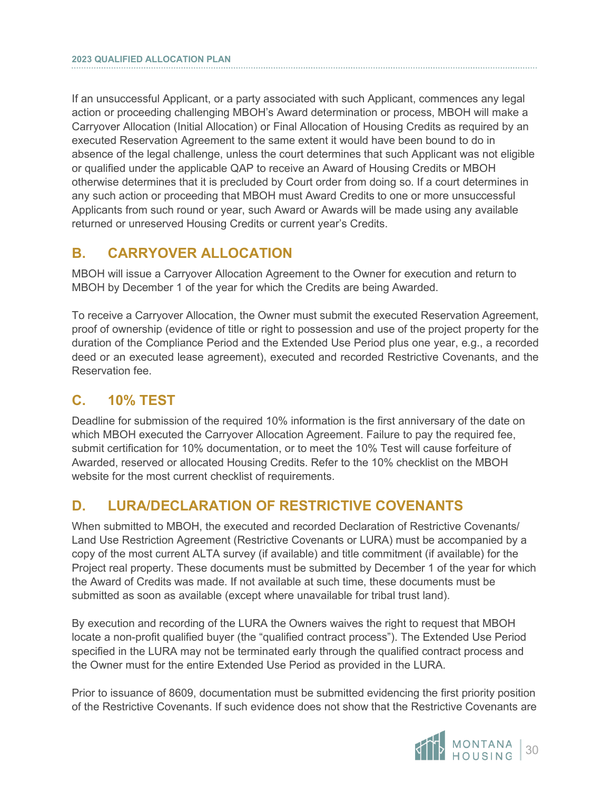If an unsuccessful Applicant, or a party associated with such Applicant, commences any legal action or proceeding challenging MBOH's Award determination or process, MBOH will make a Carryover Allocation (Initial Allocation) or Final Allocation of Housing Credits as required by an executed Reservation Agreement to the same extent it would have been bound to do in absence of the legal challenge, unless the court determines that such Applicant was not eligible or qualified under the applicable QAP to receive an Award of Housing Credits or MBOH otherwise determines that it is precluded by Court order from doing so. If a court determines in any such action or proceeding that MBOH must Award Credits to one or more unsuccessful Applicants from such round or year, such Award or Awards will be made using any available returned or unreserved Housing Credits or current year's Credits.

## <span id="page-32-0"></span>**B. CARRYOVER ALLOCATION**

MBOH will issue a Carryover Allocation Agreement to the Owner for execution and return to MBOH by December 1 of the year for which the Credits are being Awarded.

To receive a Carryover Allocation, the Owner must submit the executed Reservation Agreement, proof of ownership (evidence of title or right to possession and use of the project property for the duration of the Compliance Period and the Extended Use Period plus one year, e.g., a recorded deed or an executed lease agreement), executed and recorded Restrictive Covenants, and the Reservation fee.

## <span id="page-32-1"></span>**C. 10% TEST**

Deadline for submission of the required 10% information is the first anniversary of the date on which MBOH executed the Carryover Allocation Agreement. Failure to pay the required fee, submit certification for 10% documentation, or to meet the 10% Test will cause forfeiture of Awarded, reserved or allocated Housing Credits. Refer to the 10% checklist on the MBOH website for the most current checklist of requirements.

## <span id="page-32-2"></span>**D. LURA/DECLARATION OF RESTRICTIVE COVENANTS**

When submitted to MBOH, the executed and recorded Declaration of Restrictive Covenants/ Land Use Restriction Agreement (Restrictive Covenants or LURA) must be accompanied by a copy of the most current ALTA survey (if available) and title commitment (if available) for the Project real property. These documents must be submitted by December 1 of the year for which the Award of Credits was made. If not available at such time, these documents must be submitted as soon as available (except where unavailable for tribal trust land).

By execution and recording of the LURA the Owners waives the right to request that MBOH locate a non-profit qualified buyer (the "qualified contract process"). The Extended Use Period specified in the LURA may not be terminated early through the qualified contract process and the Owner must for the entire Extended Use Period as provided in the LURA.

Prior to issuance of 8609, documentation must be submitted evidencing the first priority position of the Restrictive Covenants. If such evidence does not show that the Restrictive Covenants are

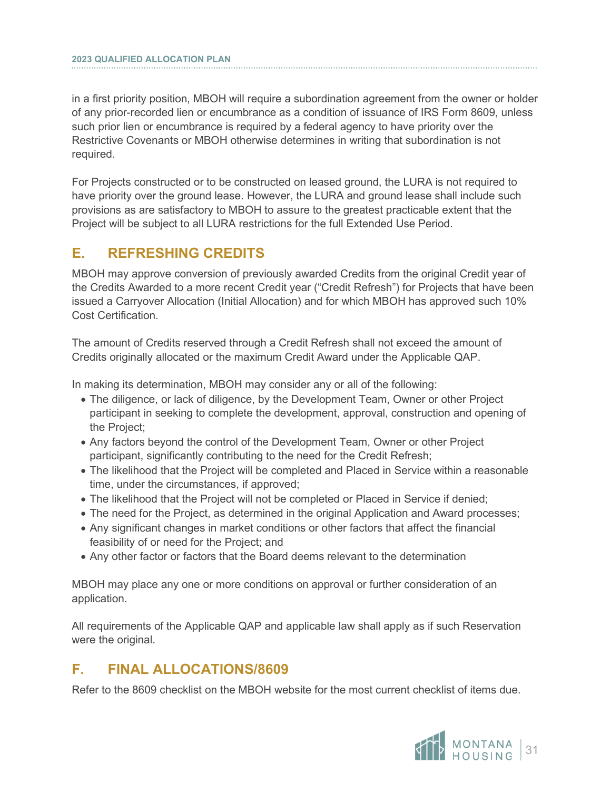in a first priority position, MBOH will require a subordination agreement from the owner or holder of any prior-recorded lien or encumbrance as a condition of issuance of IRS Form 8609, unless such prior lien or encumbrance is required by a federal agency to have priority over the Restrictive Covenants or MBOH otherwise determines in writing that subordination is not required.

For Projects constructed or to be constructed on leased ground, the LURA is not required to have priority over the ground lease. However, the LURA and ground lease shall include such provisions as are satisfactory to MBOH to assure to the greatest practicable extent that the Project will be subject to all LURA restrictions for the full Extended Use Period.

## <span id="page-33-0"></span>**E. REFRESHING CREDITS**

MBOH may approve conversion of previously awarded Credits from the original Credit year of the Credits Awarded to a more recent Credit year ("Credit Refresh") for Projects that have been issued a Carryover Allocation (Initial Allocation) and for which MBOH has approved such 10% Cost Certification.

The amount of Credits reserved through a Credit Refresh shall not exceed the amount of Credits originally allocated or the maximum Credit Award under the Applicable QAP.

In making its determination, MBOH may consider any or all of the following:

- The diligence, or lack of diligence, by the Development Team, Owner or other Project participant in seeking to complete the development, approval, construction and opening of the Project;
- Any factors beyond the control of the Development Team, Owner or other Project participant, significantly contributing to the need for the Credit Refresh;
- The likelihood that the Project will be completed and Placed in Service within a reasonable time, under the circumstances, if approved;
- The likelihood that the Project will not be completed or Placed in Service if denied;
- The need for the Project, as determined in the original Application and Award processes;
- Any significant changes in market conditions or other factors that affect the financial feasibility of or need for the Project; and
- Any other factor or factors that the Board deems relevant to the determination

MBOH may place any one or more conditions on approval or further consideration of an application.

All requirements of the Applicable QAP and applicable law shall apply as if such Reservation were the original.

## <span id="page-33-1"></span>**F. FINAL ALLOCATIONS/8609**

Refer to the 8609 checklist on the MBOH website for the most current checklist of items due.

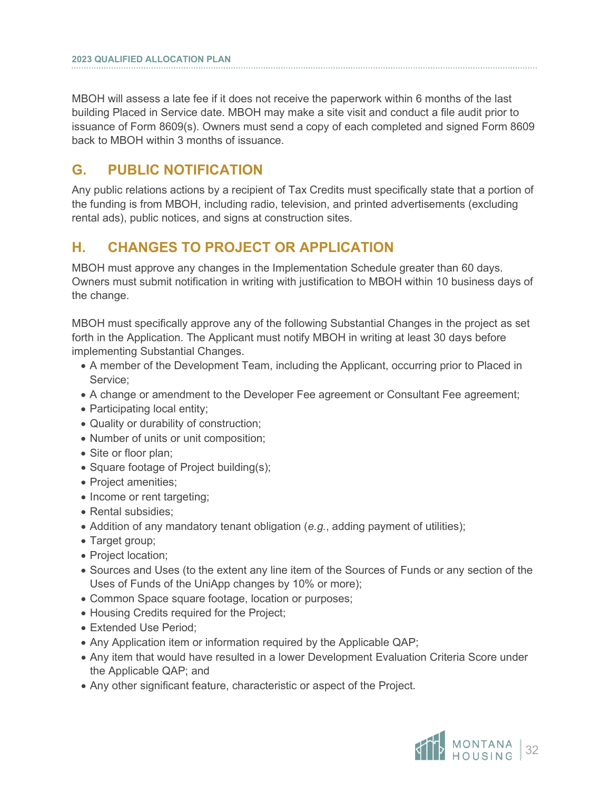MBOH will assess a late fee if it does not receive the paperwork within 6 months of the last building Placed in Service date. MBOH may make a site visit and conduct a file audit prior to issuance of Form 8609(s). Owners must send a copy of each completed and signed Form 8609 back to MBOH within 3 months of issuance.

## <span id="page-34-0"></span>**G. PUBLIC NOTIFICATION**

Any public relations actions by a recipient of Tax Credits must specifically state that a portion of the funding is from MBOH, including radio, television, and printed advertisements (excluding rental ads), public notices, and signs at construction sites.

## <span id="page-34-1"></span>**H. CHANGES TO PROJECT OR APPLICATION**

MBOH must approve any changes in the Implementation Schedule greater than 60 days. Owners must submit notification in writing with justification to MBOH within 10 business days of the change.

MBOH must specifically approve any of the following Substantial Changes in the project as set forth in the Application. The Applicant must notify MBOH in writing at least 30 days before implementing Substantial Changes.

- A member of the Development Team, including the Applicant, occurring prior to Placed in Service;
- A change or amendment to the Developer Fee agreement or Consultant Fee agreement;
- Participating local entity;
- Quality or durability of construction;
- Number of units or unit composition;
- Site or floor plan;
- Square footage of Project building(s);
- Project amenities;
- Income or rent targeting;
- Rental subsidies;
- Addition of any mandatory tenant obligation (*e.g.*, adding payment of utilities);
- Target group;
- Project location;
- Sources and Uses (to the extent any line item of the Sources of Funds or any section of the Uses of Funds of the UniApp changes by 10% or more);
- Common Space square footage, location or purposes;
- Housing Credits required for the Project;
- Extended Use Period;
- Any Application item or information required by the Applicable QAP;
- Any item that would have resulted in a lower Development Evaluation Criteria Score under the Applicable QAP; and
- Any other significant feature, characteristic or aspect of the Project.

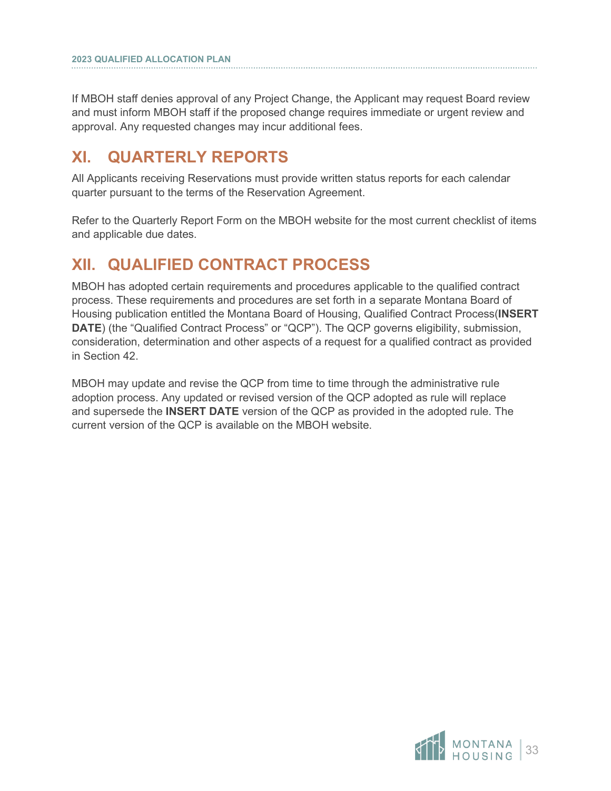If MBOH staff denies approval of any Project Change, the Applicant may request Board review and must inform MBOH staff if the proposed change requires immediate or urgent review and approval. Any requested changes may incur additional fees.

# <span id="page-35-0"></span>**XI. QUARTERLY REPORTS**

All Applicants receiving Reservations must provide written status reports for each calendar quarter pursuant to the terms of the Reservation Agreement.

Refer to the Quarterly Report Form on the MBOH website for the most current checklist of items and applicable due dates.

# <span id="page-35-1"></span>**XII. QUALIFIED CONTRACT PROCESS**

MBOH has adopted certain requirements and procedures applicable to the qualified contract process. These requirements and procedures are set forth in a separate Montana Board of Housing publication entitled the Montana Board of Housing, Qualified Contract Process(**INSERT DATE**) (the "Qualified Contract Process" or "QCP"). The QCP governs eligibility, submission, consideration, determination and other aspects of a request for a qualified contract as provided in Section 42.

MBOH may update and revise the QCP from time to time through the administrative rule adoption process. Any updated or revised version of the QCP adopted as rule will replace and supersede the **INSERT DATE** version of the QCP as provided in the adopted rule. The current version of the QCP is available on the MBOH website.

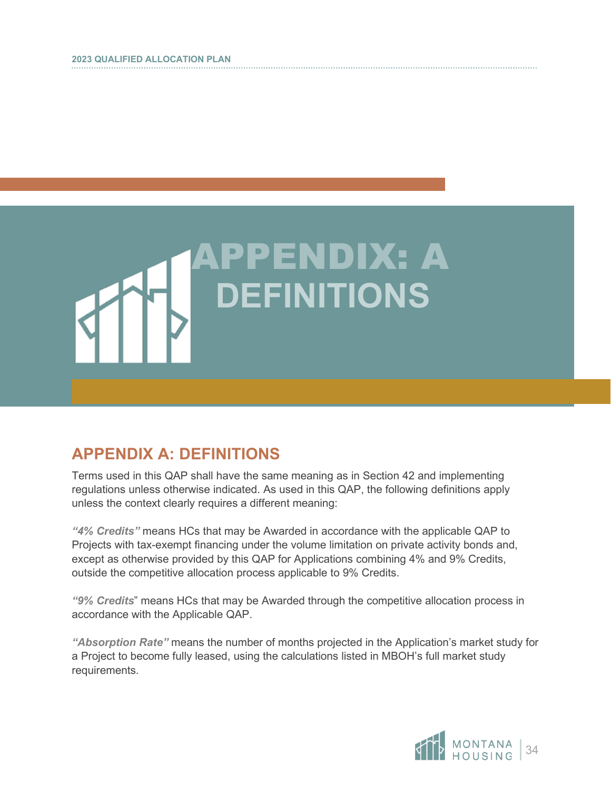

# <span id="page-36-0"></span>**APPENDIX A: DEFINITIONS**

Terms used in this QAP shall have the same meaning as in Section 42 and implementing regulations unless otherwise indicated. As used in this QAP, the following definitions apply unless the context clearly requires a different meaning:

*"4% Credits"* means HCs that may be Awarded in accordance with the applicable QAP to Projects with tax-exempt financing under the volume limitation on private activity bonds and, except as otherwise provided by this QAP for Applications combining 4% and 9% Credits, outside the competitive allocation process applicable to 9% Credits.

*"9% Credits*" means HCs that may be Awarded through the competitive allocation process in accordance with the Applicable QAP.

*"Absorption Rate"* means the number of months projected in the Application's market study for a Project to become fully leased, using the calculations listed in MBOH's full market study requirements.

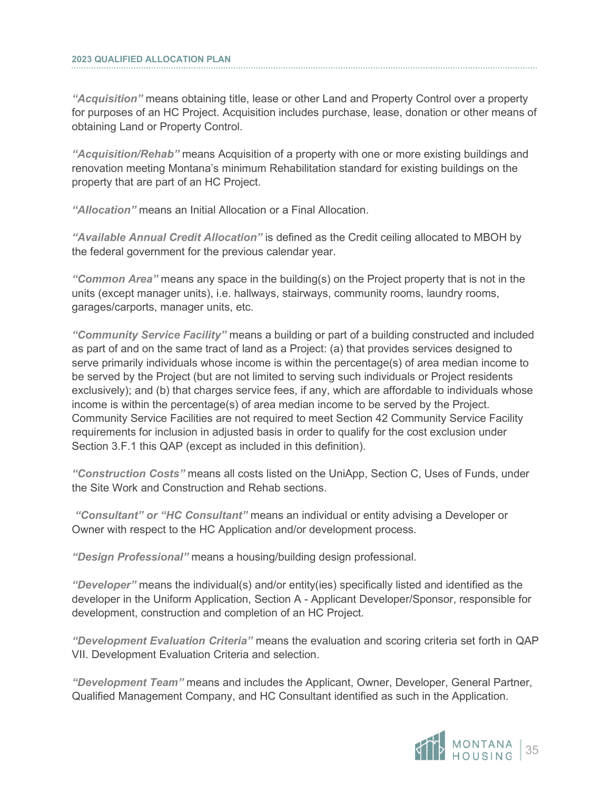*"Acquisition"* means obtaining title, lease or other Land and Property Control over a property for purposes of an HC Project. Acquisition includes purchase, lease, donation or other means of obtaining Land or Property Control.

*"Acquisition/Rehab"* means Acquisition of a property with one or more existing buildings and renovation meeting Montana's minimum Rehabilitation standard for existing buildings on the property that are part of an HC Project.

*"Allocation"* means an Initial Allocation or a Final Allocation.

*"Available Annual Credit Allocation"* is defined as the Credit ceiling allocated to MBOH by the federal government for the previous calendar year.

*"Common Area"* means any space in the building(s) on the Project property that is not in the units (except manager units), i.e. hallways, stairways, community rooms, laundry rooms, garages/carports, manager units, etc.

*"Community Service Facility"* means a building or part of a building constructed and included as part of and on the same tract of land as a Project: (a) that provides services designed to serve primarily individuals whose income is within the percentage(s) of area median income to be served by the Project (but are not limited to serving such individuals or Project residents exclusively); and (b) that charges service fees, if any, which are affordable to individuals whose income is within the percentage(s) of area median income to be served by the Project. Community Service Facilities are not required to meet Section 42 Community Service Facility requirements for inclusion in adjusted basis in order to qualify for the cost exclusion under Section 3.F.1 this QAP (except as included in this definition).

*"Construction Costs"* means all costs listed on the UniApp, Section C, Uses of Funds, under the Site Work and Construction and Rehab sections.

*"Consultant" or "HC Consultant"* means an individual or entity advising a Developer or Owner with respect to the HC Application and/or development process.

*"Design Professional"* means a housing/building design professional.

*"Developer"* means the individual(s) and/or entity(ies) specifically listed and identified as the developer in the Uniform Application, Section A - Applicant Developer/Sponsor, responsible for development, construction and completion of an HC Project.

*"Development Evaluation Criteria"* means the evaluation and scoring criteria set forth in QAP VII. Development Evaluation Criteria and selection.

*"Development Team"* means and includes the Applicant, Owner, Developer, General Partner, Qualified Management Company, and HC Consultant identified as such in the Application.

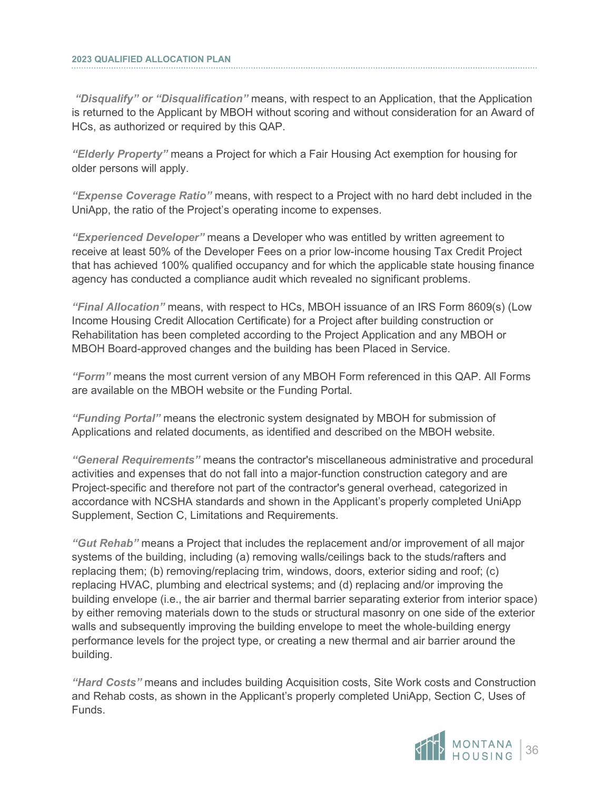*"Disqualify" or "Disqualification"* means, with respect to an Application, that the Application is returned to the Applicant by MBOH without scoring and without consideration for an Award of HCs, as authorized or required by this QAP.

*"Elderly Property"* means a Project for which a Fair Housing Act exemption for housing for older persons will apply.

*"Expense Coverage Ratio"* means, with respect to a Project with no hard debt included in the UniApp, the ratio of the Project's operating income to expenses.

*"Experienced Developer"* means a Developer who was entitled by written agreement to receive at least 50% of the Developer Fees on a prior low-income housing Tax Credit Project that has achieved 100% qualified occupancy and for which the applicable state housing finance agency has conducted a compliance audit which revealed no significant problems.

*"Final Allocation"* means, with respect to HCs, MBOH issuance of an IRS Form 8609(s) (Low Income Housing Credit Allocation Certificate) for a Project after building construction or Rehabilitation has been completed according to the Project Application and any MBOH or MBOH Board-approved changes and the building has been Placed in Service.

*"Form"* means the most current version of any MBOH Form referenced in this QAP. All Forms are available on the MBOH website or the Funding Portal.

*"Funding Portal"* means the electronic system designated by MBOH for submission of Applications and related documents, as identified and described on the MBOH website.

*"General Requirements"* means the contractor's miscellaneous administrative and procedural activities and expenses that do not fall into a major-function construction category and are Project-specific and therefore not part of the contractor's general overhead, categorized in accordance with NCSHA standards and shown in the Applicant's properly completed UniApp Supplement, Section C, Limitations and Requirements.

*"Gut Rehab"* means a Project that includes the replacement and/or improvement of all major systems of the building, including (a) removing walls/ceilings back to the studs/rafters and replacing them; (b) removing/replacing trim, windows, doors, exterior siding and roof; (c) replacing HVAC, plumbing and electrical systems; and (d) replacing and/or improving the building envelope (i.e., the air barrier and thermal barrier separating exterior from interior space) by either removing materials down to the studs or structural masonry on one side of the exterior walls and subsequently improving the building envelope to meet the whole-building energy performance levels for the project type, or creating a new thermal and air barrier around the building.

*"Hard Costs"* means and includes building Acquisition costs, Site Work costs and Construction and Rehab costs, as shown in the Applicant's properly completed UniApp, Section C, Uses of Funds.

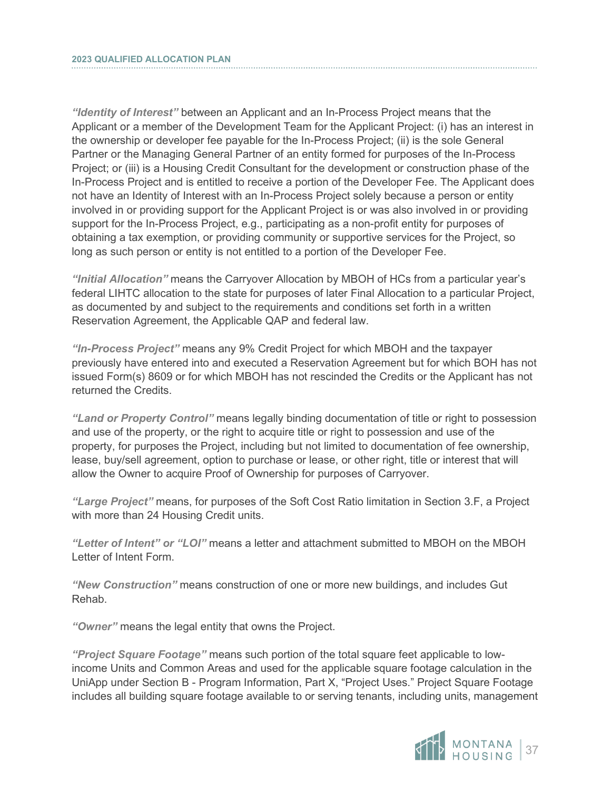*"Identity of Interest"* between an Applicant and an In-Process Project means that the Applicant or a member of the Development Team for the Applicant Project: (i) has an interest in the ownership or developer fee payable for the In-Process Project; (ii) is the sole General Partner or the Managing General Partner of an entity formed for purposes of the In-Process Project; or (iii) is a Housing Credit Consultant for the development or construction phase of the In-Process Project and is entitled to receive a portion of the Developer Fee. The Applicant does not have an Identity of Interest with an In-Process Project solely because a person or entity involved in or providing support for the Applicant Project is or was also involved in or providing support for the In-Process Project, e.g., participating as a non-profit entity for purposes of obtaining a tax exemption, or providing community or supportive services for the Project, so long as such person or entity is not entitled to a portion of the Developer Fee.

*"Initial Allocation"* means the Carryover Allocation by MBOH of HCs from a particular year's federal LIHTC allocation to the state for purposes of later Final Allocation to a particular Project, as documented by and subject to the requirements and conditions set forth in a written Reservation Agreement, the Applicable QAP and federal law.

*"In-Process Project"* means any 9% Credit Project for which MBOH and the taxpayer previously have entered into and executed a Reservation Agreement but for which BOH has not issued Form(s) 8609 or for which MBOH has not rescinded the Credits or the Applicant has not returned the Credits.

*"Land or Property Control"* means legally binding documentation of title or right to possession and use of the property, or the right to acquire title or right to possession and use of the property, for purposes the Project, including but not limited to documentation of fee ownership, lease, buy/sell agreement, option to purchase or lease, or other right, title or interest that will allow the Owner to acquire Proof of Ownership for purposes of Carryover.

*"Large Project"* means, for purposes of the Soft Cost Ratio limitation in Section 3.F, a Project with more than 24 Housing Credit units.

*"Letter of Intent" or "LOI"* means a letter and attachment submitted to MBOH on the MBOH Letter of Intent Form.

*"New Construction"* means construction of one or more new buildings, and includes Gut Rehab.

*"Owner"* means the legal entity that owns the Project.

*"Project Square Footage"* means such portion of the total square feet applicable to lowincome Units and Common Areas and used for the applicable square footage calculation in the UniApp under Section B - Program Information, Part X, "Project Uses." Project Square Footage includes all building square footage available to or serving tenants, including units, management

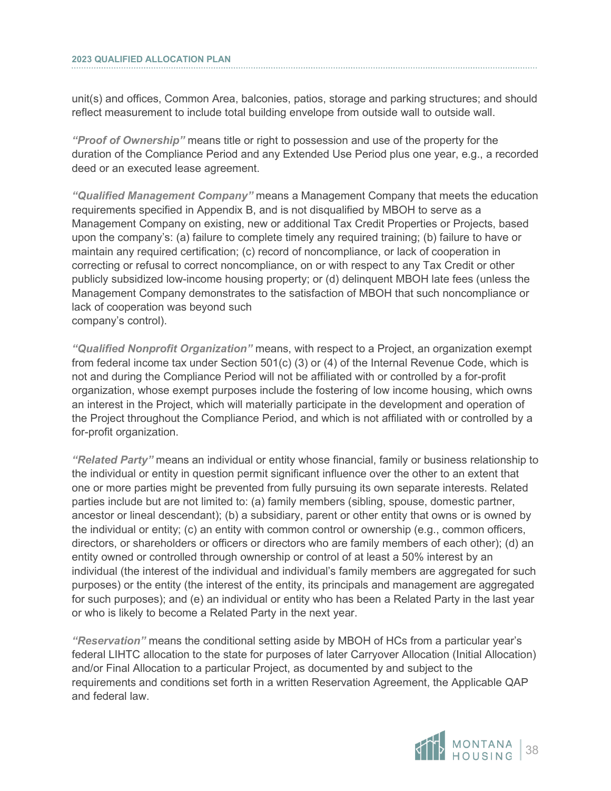unit(s) and offices, Common Area, balconies, patios, storage and parking structures; and should reflect measurement to include total building envelope from outside wall to outside wall.

*"Proof of Ownership"* means title or right to possession and use of the property for the duration of the Compliance Period and any Extended Use Period plus one year, e.g., a recorded deed or an executed lease agreement.

*"Qualified Management Company"* means a Management Company that meets the education requirements specified in Appendix B, and is not disqualified by MBOH to serve as a Management Company on existing, new or additional Tax Credit Properties or Projects, based upon the company's: (a) failure to complete timely any required training; (b) failure to have or maintain any required certification; (c) record of noncompliance, or lack of cooperation in correcting or refusal to correct noncompliance, on or with respect to any Tax Credit or other publicly subsidized low-income housing property; or (d) delinquent MBOH late fees (unless the Management Company demonstrates to the satisfaction of MBOH that such noncompliance or lack of cooperation was beyond such company's control).

*"Qualified Nonprofit Organization"* means, with respect to a Project, an organization exempt from federal income tax under Section 501(c) (3) or (4) of the Internal Revenue Code, which is not and during the Compliance Period will not be affiliated with or controlled by a for-profit organization, whose exempt purposes include the fostering of low income housing, which owns an interest in the Project, which will materially participate in the development and operation of the Project throughout the Compliance Period, and which is not affiliated with or controlled by a for-profit organization.

*"Related Party"* means an individual or entity whose financial, family or business relationship to the individual or entity in question permit significant influence over the other to an extent that one or more parties might be prevented from fully pursuing its own separate interests. Related parties include but are not limited to: (a) family members (sibling, spouse, domestic partner, ancestor or lineal descendant); (b) a subsidiary, parent or other entity that owns or is owned by the individual or entity; (c) an entity with common control or ownership (e.g., common officers, directors, or shareholders or officers or directors who are family members of each other); (d) an entity owned or controlled through ownership or control of at least a 50% interest by an individual (the interest of the individual and individual's family members are aggregated for such purposes) or the entity (the interest of the entity, its principals and management are aggregated for such purposes); and (e) an individual or entity who has been a Related Party in the last year or who is likely to become a Related Party in the next year.

*"Reservation"* means the conditional setting aside by MBOH of HCs from a particular year's federal LIHTC allocation to the state for purposes of later Carryover Allocation (Initial Allocation) and/or Final Allocation to a particular Project, as documented by and subject to the requirements and conditions set forth in a written Reservation Agreement, the Applicable QAP and federal law.

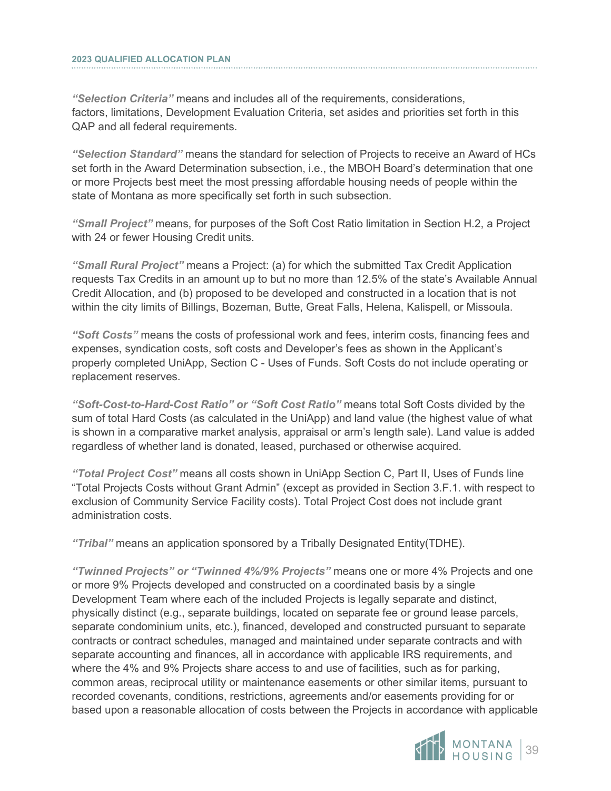*"Selection Criteria"* means and includes all of the requirements, considerations, factors, limitations, Development Evaluation Criteria, set asides and priorities set forth in this QAP and all federal requirements.

*"Selection Standard"* means the standard for selection of Projects to receive an Award of HCs set forth in the Award Determination subsection, i.e., the MBOH Board's determination that one or more Projects best meet the most pressing affordable housing needs of people within the state of Montana as more specifically set forth in such subsection.

*"Small Project"* means, for purposes of the Soft Cost Ratio limitation in Section H.2, a Project with 24 or fewer Housing Credit units.

*"Small Rural Project"* means a Project: (a) for which the submitted Tax Credit Application requests Tax Credits in an amount up to but no more than 12.5% of the state's Available Annual Credit Allocation, and (b) proposed to be developed and constructed in a location that is not within the city limits of Billings, Bozeman, Butte, Great Falls, Helena, Kalispell, or Missoula.

*"Soft Costs"* means the costs of professional work and fees, interim costs, financing fees and expenses, syndication costs, soft costs and Developer's fees as shown in the Applicant's properly completed UniApp, Section C - Uses of Funds. Soft Costs do not include operating or replacement reserves.

*"Soft-Cost-to-Hard-Cost Ratio" or "Soft Cost Ratio"* means total Soft Costs divided by the sum of total Hard Costs (as calculated in the UniApp) and land value (the highest value of what is shown in a comparative market analysis, appraisal or arm's length sale). Land value is added regardless of whether land is donated, leased, purchased or otherwise acquired.

*"Total Project Cost"* means all costs shown in UniApp Section C, Part II, Uses of Funds line "Total Projects Costs without Grant Admin" (except as provided in Section 3.F.1. with respect to exclusion of Community Service Facility costs). Total Project Cost does not include grant administration costs.

*"Tribal"* means an application sponsored by a Tribally Designated Entity(TDHE).

*"Twinned Projects" or "Twinned 4%/9% Projects"* means one or more 4% Projects and one or more 9% Projects developed and constructed on a coordinated basis by a single Development Team where each of the included Projects is legally separate and distinct, physically distinct (e.g., separate buildings, located on separate fee or ground lease parcels, separate condominium units, etc.), financed, developed and constructed pursuant to separate contracts or contract schedules, managed and maintained under separate contracts and with separate accounting and finances, all in accordance with applicable IRS requirements, and where the 4% and 9% Projects share access to and use of facilities, such as for parking, common areas, reciprocal utility or maintenance easements or other similar items, pursuant to recorded covenants, conditions, restrictions, agreements and/or easements providing for or based upon a reasonable allocation of costs between the Projects in accordance with applicable

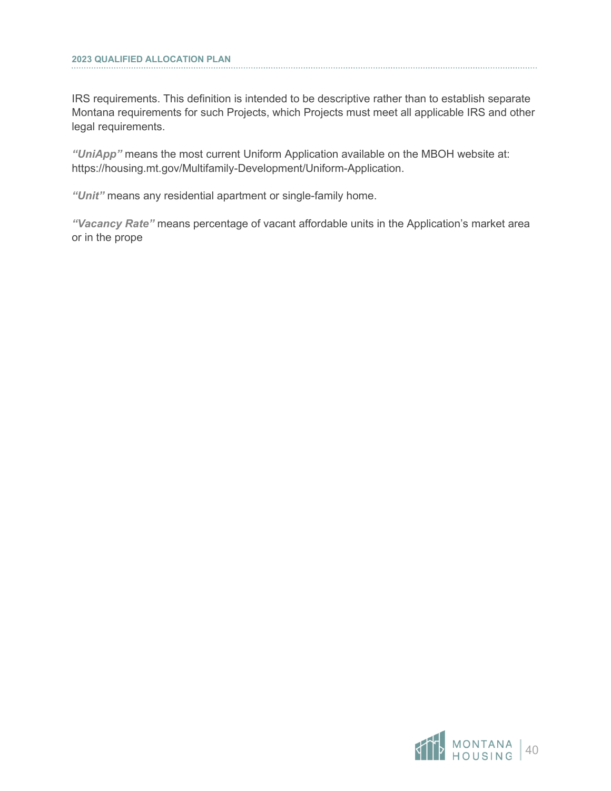IRS requirements. This definition is intended to be descriptive rather than to establish separate Montana requirements for such Projects, which Projects must meet all applicable IRS and other legal requirements.

*"UniApp"* means the most current Uniform Application available on the MBOH website at: https://housing.mt.gov/Multifamily-Development/Uniform-Application.

*"Unit"* means any residential apartment or single-family home.

*"Vacancy Rate"* means percentage of vacant affordable units in the Application's market area or in the prope

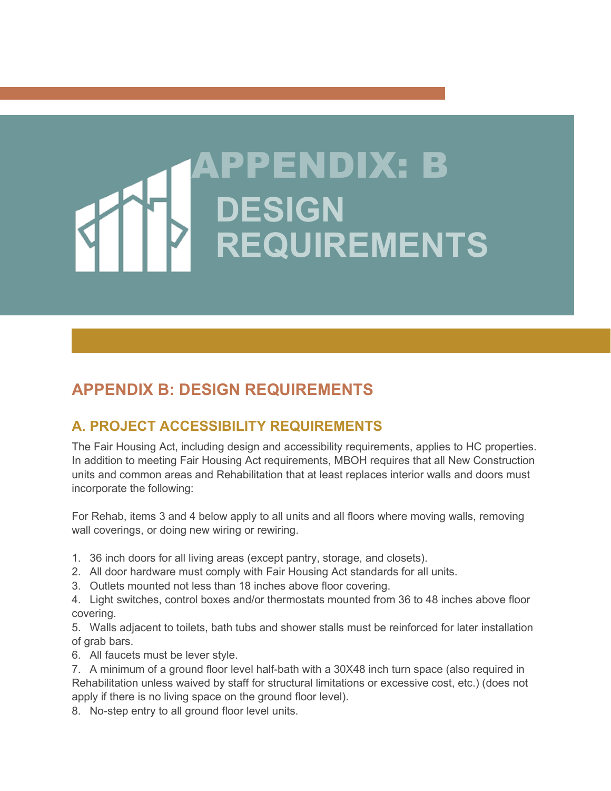# PENDIX: B **DESIGN REQUIREMENTS**

# <span id="page-43-0"></span>**APPENDIX B: DESIGN REQUIREMENTS**

# <span id="page-43-1"></span>**A. PROJECT ACCESSIBILITY REQUIREMENTS**

The Fair Housing Act, including design and accessibility requirements, applies to HC properties. In addition to meeting Fair Housing Act requirements, MBOH requires that all New Construction units and common areas and Rehabilitation that at least replaces interior walls and doors must incorporate the following:

For Rehab, items 3 and 4 below apply to all units and all floors where moving walls, removing wall coverings, or doing new wiring or rewiring.

- 1. 36 inch doors for all living areas (except pantry, storage, and closets).
- 2. All door hardware must comply with Fair Housing Act standards for all units.
- 3. Outlets mounted not less than 18 inches above floor covering.
- 4. Light switches, control boxes and/or thermostats mounted from 36 to 48 inches above floor covering.

5. Walls adjacent to toilets, bath tubs and shower stalls must be reinforced for later installation of grab bars.

6. All faucets must be lever style.

- 7. A minimum of a ground floor level half-bath with a 30X48 inch turn space (also required in Rehabilitation unless waived by staff for structural limitations or excessive cost, etc.) (does not apply if there is no living space on the ground floor level).
- 8. No-step entry to all ground floor level units.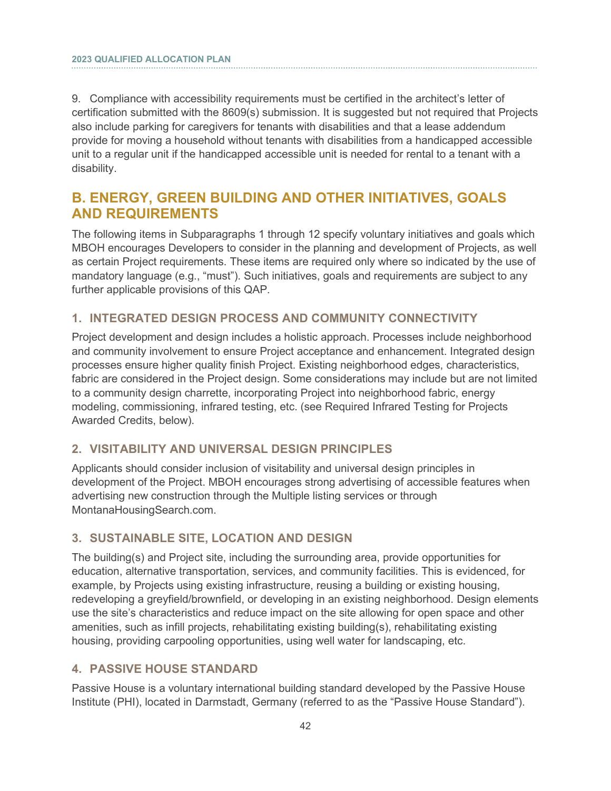9. Compliance with accessibility requirements must be certified in the architect's letter of certification submitted with the 8609(s) submission. It is suggested but not required that Projects also include parking for caregivers for tenants with disabilities and that a lease addendum provide for moving a household without tenants with disabilities from a handicapped accessible unit to a regular unit if the handicapped accessible unit is needed for rental to a tenant with a disability.

## <span id="page-44-0"></span>**B. ENERGY, GREEN BUILDING AND OTHER INITIATIVES, GOALS AND REQUIREMENTS**

The following items in Subparagraphs 1 through 12 specify voluntary initiatives and goals which MBOH encourages Developers to consider in the planning and development of Projects, as well as certain Project requirements. These items are required only where so indicated by the use of mandatory language (e.g., "must"). Such initiatives, goals and requirements are subject to any further applicable provisions of this QAP.

#### **1. INTEGRATED DESIGN PROCESS AND COMMUNITY CONNECTIVITY**

Project development and design includes a holistic approach. Processes include neighborhood and community involvement to ensure Project acceptance and enhancement. Integrated design processes ensure higher quality finish Project. Existing neighborhood edges, characteristics, fabric are considered in the Project design. Some considerations may include but are not limited to a community design charrette, incorporating Project into neighborhood fabric, energy modeling, commissioning, infrared testing, etc. (see Required Infrared Testing for Projects Awarded Credits, below).

#### **2. VISITABILITY AND UNIVERSAL DESIGN PRINCIPLES**

Applicants should consider inclusion of visitability and universal design principles in development of the Project. MBOH encourages strong advertising of accessible features when advertising new construction through the Multiple listing services or through MontanaHousingSearch.com.

#### **3. SUSTAINABLE SITE, LOCATION AND DESIGN**

The building(s) and Project site, including the surrounding area, provide opportunities for education, alternative transportation, services, and community facilities. This is evidenced, for example, by Projects using existing infrastructure, reusing a building or existing housing, redeveloping a greyfield/brownfield, or developing in an existing neighborhood. Design elements use the site's characteristics and reduce impact on the site allowing for open space and other amenities, such as infill projects, rehabilitating existing building(s), rehabilitating existing housing, providing carpooling opportunities, using well water for landscaping, etc.

#### **4. PASSIVE HOUSE STANDARD**

Passive House is a voluntary international building standard developed by the Passive House Institute (PHI), located in Darmstadt, Germany (referred to as the "Passive House Standard").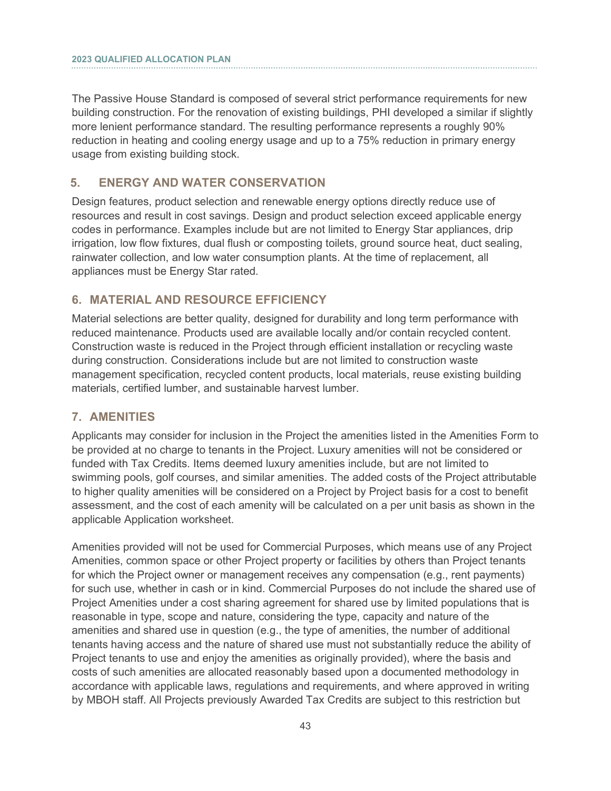The Passive House Standard is composed of several strict performance requirements for new building construction. For the renovation of existing buildings, PHI developed a similar if slightly more lenient performance standard. The resulting performance represents a roughly 90% reduction in heating and cooling energy usage and up to a 75% reduction in primary energy usage from existing building stock.

#### **5. ENERGY AND WATER CONSERVATION**

Design features, product selection and renewable energy options directly reduce use of resources and result in cost savings. Design and product selection exceed applicable energy codes in performance. Examples include but are not limited to Energy Star appliances, drip irrigation, low flow fixtures, dual flush or composting toilets, ground source heat, duct sealing, rainwater collection, and low water consumption plants. At the time of replacement, all appliances must be Energy Star rated.

#### **6. MATERIAL AND RESOURCE EFFICIENCY**

Material selections are better quality, designed for durability and long term performance with reduced maintenance. Products used are available locally and/or contain recycled content. Construction waste is reduced in the Project through efficient installation or recycling waste during construction. Considerations include but are not limited to construction waste management specification, recycled content products, local materials, reuse existing building materials, certified lumber, and sustainable harvest lumber.

#### **7. AMENITIES**

Applicants may consider for inclusion in the Project the amenities listed in the Amenities Form to be provided at no charge to tenants in the Project. Luxury amenities will not be considered or funded with Tax Credits. Items deemed luxury amenities include, but are not limited to swimming pools, golf courses, and similar amenities. The added costs of the Project attributable to higher quality amenities will be considered on a Project by Project basis for a cost to benefit assessment, and the cost of each amenity will be calculated on a per unit basis as shown in the applicable Application worksheet.

Amenities provided will not be used for Commercial Purposes, which means use of any Project Amenities, common space or other Project property or facilities by others than Project tenants for which the Project owner or management receives any compensation (e.g., rent payments) for such use, whether in cash or in kind. Commercial Purposes do not include the shared use of Project Amenities under a cost sharing agreement for shared use by limited populations that is reasonable in type, scope and nature, considering the type, capacity and nature of the amenities and shared use in question (e.g., the type of amenities, the number of additional tenants having access and the nature of shared use must not substantially reduce the ability of Project tenants to use and enjoy the amenities as originally provided), where the basis and costs of such amenities are allocated reasonably based upon a documented methodology in accordance with applicable laws, regulations and requirements, and where approved in writing by MBOH staff. All Projects previously Awarded Tax Credits are subject to this restriction but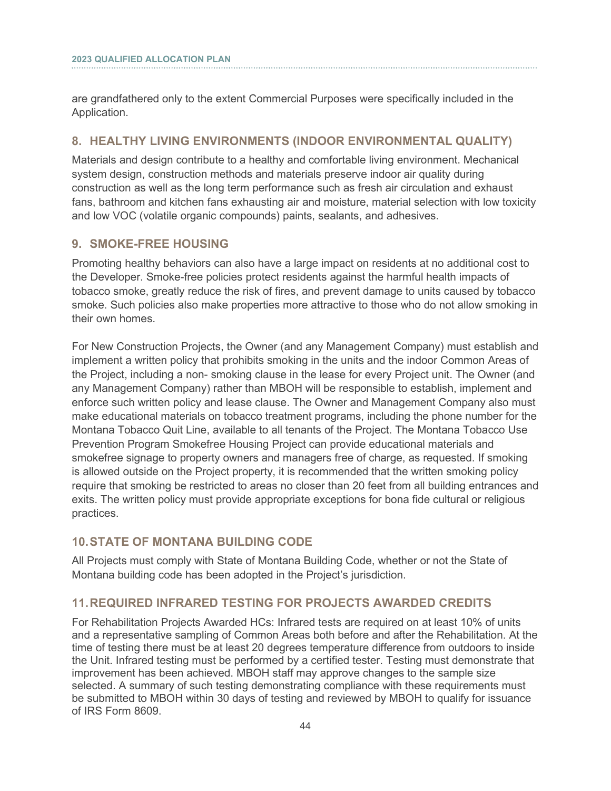are grandfathered only to the extent Commercial Purposes were specifically included in the Application.

#### **8. HEALTHY LIVING ENVIRONMENTS (INDOOR ENVIRONMENTAL QUALITY)**

Materials and design contribute to a healthy and comfortable living environment. Mechanical system design, construction methods and materials preserve indoor air quality during construction as well as the long term performance such as fresh air circulation and exhaust fans, bathroom and kitchen fans exhausting air and moisture, material selection with low toxicity and low VOC (volatile organic compounds) paints, sealants, and adhesives.

#### **9. SMOKE-FREE HOUSING**

Promoting healthy behaviors can also have a large impact on residents at no additional cost to the Developer. Smoke-free policies protect residents against the harmful health impacts of tobacco smoke, greatly reduce the risk of fires, and prevent damage to units caused by tobacco smoke. Such policies also make properties more attractive to those who do not allow smoking in their own homes.

For New Construction Projects, the Owner (and any Management Company) must establish and implement a written policy that prohibits smoking in the units and the indoor Common Areas of the Project, including a non- smoking clause in the lease for every Project unit. The Owner (and any Management Company) rather than MBOH will be responsible to establish, implement and enforce such written policy and lease clause. The Owner and Management Company also must make educational materials on tobacco treatment programs, including the phone number for the Montana Tobacco Quit Line, available to all tenants of the Project. The Montana Tobacco Use Prevention Program Smokefree Housing Project can provide educational materials and smokefree signage to property owners and managers free of charge, as requested. If smoking is allowed outside on the Project property, it is recommended that the written smoking policy require that smoking be restricted to areas no closer than 20 feet from all building entrances and exits. The written policy must provide appropriate exceptions for bona fide cultural or religious practices.

#### **10.STATE OF MONTANA BUILDING CODE**

All Projects must comply with State of Montana Building Code, whether or not the State of Montana building code has been adopted in the Project's jurisdiction.

#### **11.REQUIRED INFRARED TESTING FOR PROJECTS AWARDED CREDITS**

For Rehabilitation Projects Awarded HCs: Infrared tests are required on at least 10% of units and a representative sampling of Common Areas both before and after the Rehabilitation. At the time of testing there must be at least 20 degrees temperature difference from outdoors to inside the Unit. Infrared testing must be performed by a certified tester. Testing must demonstrate that improvement has been achieved. MBOH staff may approve changes to the sample size selected. A summary of such testing demonstrating compliance with these requirements must be submitted to MBOH within 30 days of testing and reviewed by MBOH to qualify for issuance of IRS Form 8609.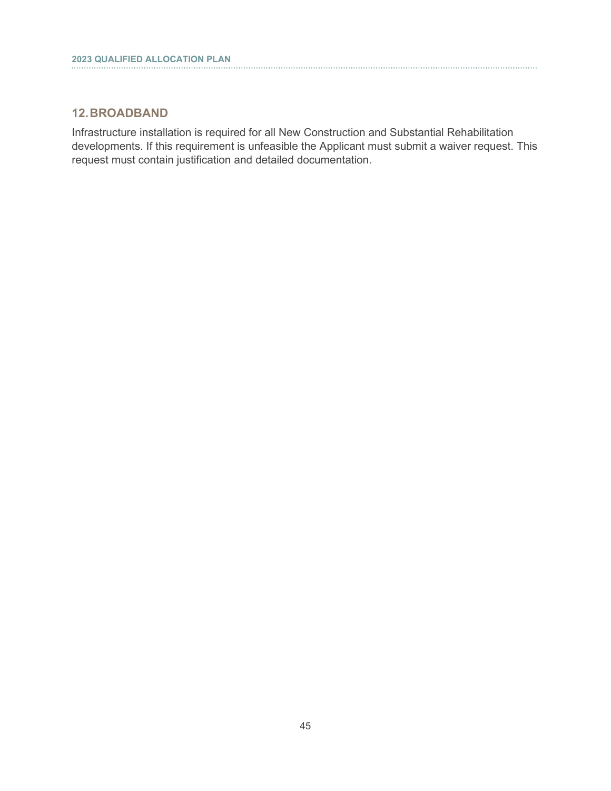#### **12.BROADBAND**

Infrastructure installation is required for all New Construction and Substantial Rehabilitation developments. If this requirement is unfeasible the Applicant must submit a waiver request. This request must contain justification and detailed documentation.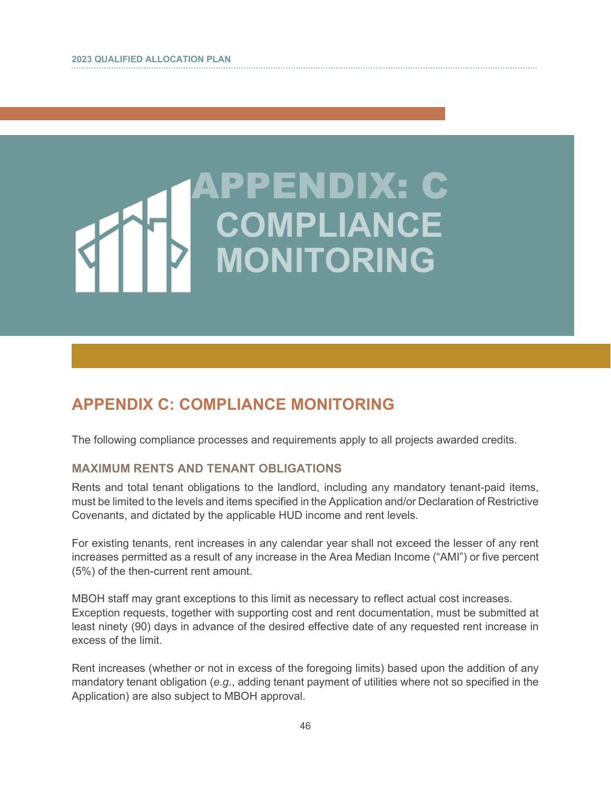# PENDIX: C **COMPLIANCE MONITORING**

# <span id="page-48-0"></span>**APPENDIX C: COMPLIANCE MONITORING**

The following compliance processes and requirements apply to all projects awarded credits.

#### **MAXIMUM RENTS AND TENANT OBLIGATIONS**

Rents and total tenant obligations to the landlord, including any mandatory tenant-paid items, must be limited to the levels and items specified in the Application and/or Declaration of Restrictive Covenants, and dictated by the applicable HUD income and rent levels.

For existing tenants, rent increases in any calendar year shall not exceed the lesser of any rent increases permitted as a result of any increase in the Area Median Income ("AMI") or five percent (5%) of the then-current rent amount.

MBOH staff may grant exceptions to this limit as necessary to reflect actual cost increases. Exception requests, together with supporting cost and rent documentation, must be submitted at least ninety (90) days in advance of the desired effective date of any requested rent increase in excess of the limit.

Rent increases (whether or not in excess of the foregoing limits) based upon the addition of any mandatory tenant obligation (*e.g.*, adding tenant payment of utilities where not so specified in the Application) are also subject to MBOH approval.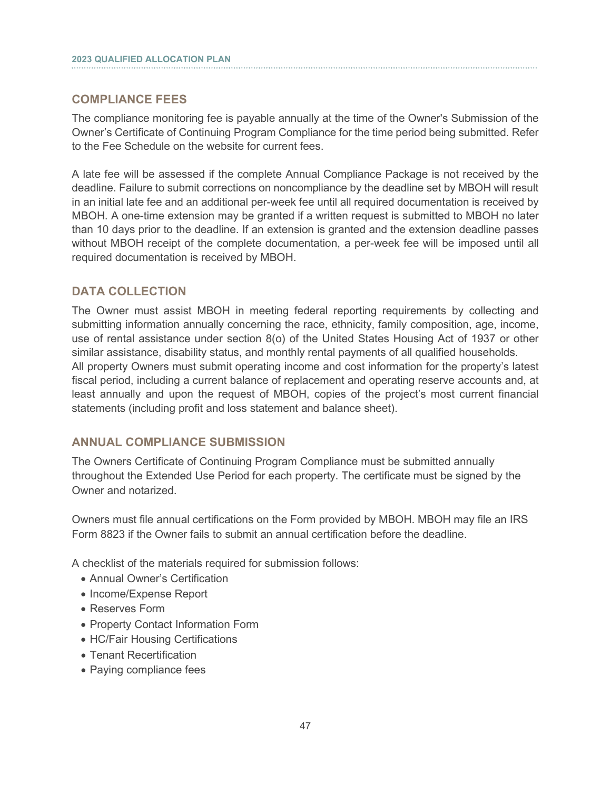#### **COMPLIANCE FEES**

i

The compliance monitoring fee is payable annually at the time of the Owner's Submission of the Owner's Certificate of Continuing Program Compliance for the time period being submitted. Refer to the Fee Schedule on the website for current fees.

A late fee will be assessed if the complete Annual Compliance Package is not received by the deadline. Failure to submit corrections on noncompliance by the deadline set by MBOH will result in an initial late fee and an additional per-week fee until all required documentation is received by MBOH. A one-time extension may be granted if a written request is submitted to MBOH no later than 10 days prior to the deadline. If an extension is granted and the extension deadline passes without MBOH receipt of the complete documentation, a per-week fee will be imposed until all required documentation is received by MBOH.

#### **DATA COLLECTION**

The Owner must assist MBOH in meeting federal reporting requirements by collecting and submitting information annually concerning the race, ethnicity, family composition, age, income, use of rental assistance under section 8(o) of the United States Housing Act of 1937 or other similar assistance, disability status, and monthly rental payments of all qualified households. All property Owners must submit operating income and cost information for the property's latest fiscal period, including a current balance of replacement and operating reserve accounts and, at least annually and upon the request of MBOH, copies of the project's most current financial statements (including profit and loss statement and balance sheet).

#### **ANNUAL COMPLIANCE SUBMISSION**

The Owners Certificate of Continuing Program Compliance must be submitted annually throughout the Extended Use Period for each property. The certificate must be signed by the Owner and notarized.

Owners must file annual certifications on the Form provided by MBOH. MBOH may file an IRS Form 8823 if the Owner fails to submit an annual certification before the deadline.

A checklist of the materials required for submission follows:

- Annual Owner's Certification
- Income/Expense Report
- Reserves Form
- Property Contact Information Form
- HC/Fair Housing Certifications
- Tenant Recertification
- Paying compliance fees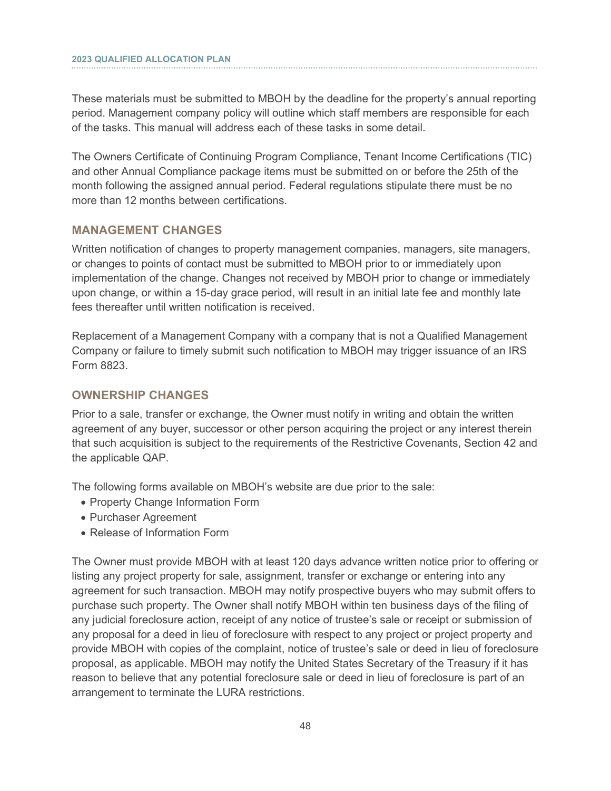These materials must be submitted to MBOH by the deadline for the property's annual reporting period. Management company policy will outline which staff members are responsible for each of the tasks. This manual will address each of these tasks in some detail.

The Owners Certificate of Continuing Program Compliance, Tenant Income Certifications (TIC) and other Annual Compliance package items must be submitted on or before the 25th of the month following the assigned annual period. Federal regulations stipulate there must be no more than 12 months between certifications.

#### **MANAGEMENT CHANGES**

Written notification of changes to property management companies, managers, site managers, or changes to points of contact must be submitted to MBOH prior to or immediately upon implementation of the change. Changes not received by MBOH prior to change or immediately upon change, or within a 15-day grace period, will result in an initial late fee and monthly late fees thereafter until written notification is received.

Replacement of a Management Company with a company that is not a Qualified Management Company or failure to timely submit such notification to MBOH may trigger issuance of an IRS Form 8823.

#### **OWNERSHIP CHANGES**

Prior to a sale, transfer or exchange, the Owner must notify in writing and obtain the written agreement of any buyer, successor or other person acquiring the project or any interest therein that such acquisition is subject to the requirements of the Restrictive Covenants, Section 42 and the applicable QAP.

The following forms available on MBOH's website are due prior to the sale:

- Property Change Information Form
- Purchaser Agreement
- Release of Information Form

The Owner must provide MBOH with at least 120 days advance written notice prior to offering or listing any project property for sale, assignment, transfer or exchange or entering into any agreement for such transaction. MBOH may notify prospective buyers who may submit offers to purchase such property. The Owner shall notify MBOH within ten business days of the filing of any judicial foreclosure action, receipt of any notice of trustee's sale or receipt or submission of any proposal for a deed in lieu of foreclosure with respect to any project or project property and provide MBOH with copies of the complaint, notice of trustee's sale or deed in lieu of foreclosure proposal, as applicable. MBOH may notify the United States Secretary of the Treasury if it has reason to believe that any potential foreclosure sale or deed in lieu of foreclosure is part of an arrangement to terminate the LURA restrictions.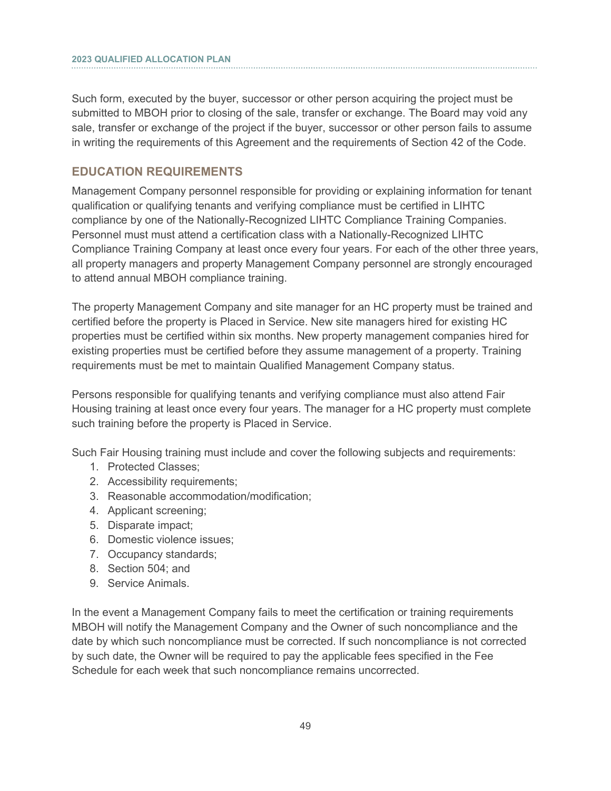Such form, executed by the buyer, successor or other person acquiring the project must be submitted to MBOH prior to closing of the sale, transfer or exchange. The Board may void any sale, transfer or exchange of the project if the buyer, successor or other person fails to assume in writing the requirements of this Agreement and the requirements of Section 42 of the Code.

#### **EDUCATION REQUIREMENTS**

Management Company personnel responsible for providing or explaining information for tenant qualification or qualifying tenants and verifying compliance must be certified in LIHTC compliance by one of the Nationally-Recognized LIHTC Compliance Training Companies. Personnel must must attend a certification class with a Nationally-Recognized LIHTC Compliance Training Company at least once every four years. For each of the other three years, all property managers and property Management Company personnel are strongly encouraged to attend annual MBOH compliance training.

The property Management Company and site manager for an HC property must be trained and certified before the property is Placed in Service. New site managers hired for existing HC properties must be certified within six months. New property management companies hired for existing properties must be certified before they assume management of a property. Training requirements must be met to maintain Qualified Management Company status.

Persons responsible for qualifying tenants and verifying compliance must also attend Fair Housing training at least once every four years. The manager for a HC property must complete such training before the property is Placed in Service.

Such Fair Housing training must include and cover the following subjects and requirements:

- 1. Protected Classes;
- 2. Accessibility requirements;
- 3. Reasonable accommodation/modification;
- 4. Applicant screening;
- 5. Disparate impact;
- 6. Domestic violence issues;
- 7. Occupancy standards;
- 8. Section 504; and
- 9. Service Animals.

In the event a Management Company fails to meet the certification or training requirements MBOH will notify the Management Company and the Owner of such noncompliance and the date by which such noncompliance must be corrected. If such noncompliance is not corrected by such date, the Owner will be required to pay the applicable fees specified in the Fee Schedule for each week that such noncompliance remains uncorrected.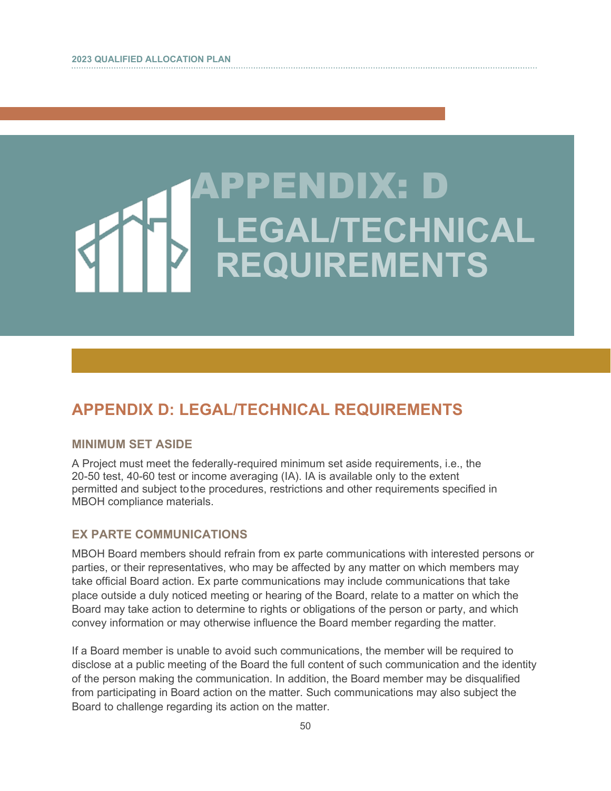# PENDIX: D **LEGAL/TECHNICAL REQUIREMENTS**

# <span id="page-52-0"></span>**APPENDIX D: LEGAL/TECHNICAL REQUIREMENTS**

#### **MINIMUM SET ASIDE**

A Project must meet the federally-required minimum set aside requirements, i.e., the 20-50 test, 40-60 test or income averaging (IA). IA is available only to the extent permitted and subject tothe procedures, restrictions and other requirements specified in MBOH compliance materials.

#### **EX PARTE COMMUNICATIONS**

MBOH Board members should refrain from ex parte communications with interested persons or parties, or their representatives, who may be affected by any matter on which members may take official Board action. Ex parte communications may include communications that take place outside a duly noticed meeting or hearing of the Board, relate to a matter on which the Board may take action to determine to rights or obligations of the person or party, and which convey information or may otherwise influence the Board member regarding the matter.

If a Board member is unable to avoid such communications, the member will be required to disclose at a public meeting of the Board the full content of such communication and the identity of the person making the communication. In addition, the Board member may be disqualified from participating in Board action on the matter. Such communications may also subject the Board to challenge regarding its action on the matter.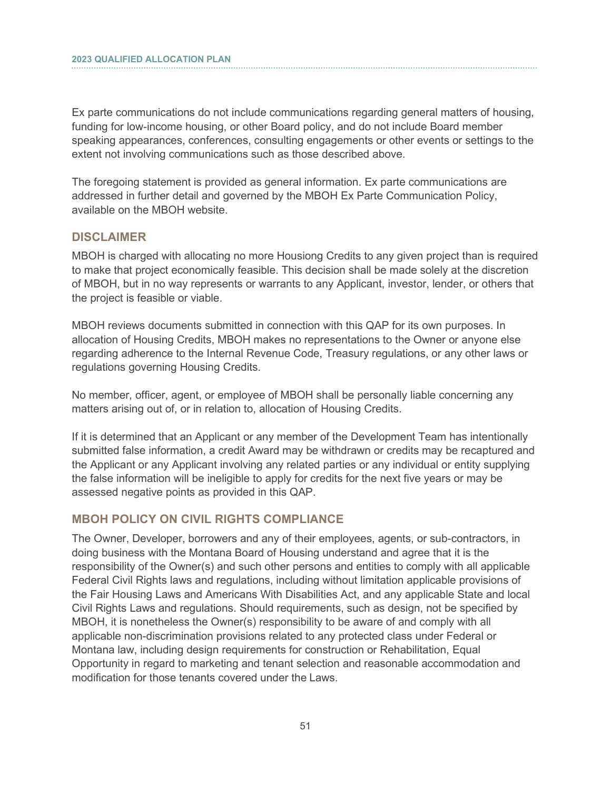Ex parte communications do not include communications regarding general matters of housing, funding for low-income housing, or other Board policy, and do not include Board member speaking appearances, conferences, consulting engagements or other events or settings to the extent not involving communications such as those described above.

The foregoing statement is provided as general information. Ex parte communications are addressed in further detail and governed by the MBOH Ex Parte Communication Policy, available on the MBOH website.

#### **DISCLAIMER**

i

MBOH is charged with allocating no more Housiong Credits to any given project than is required to make that project economically feasible. This decision shall be made solely at the discretion of MBOH, but in no way represents or warrants to any Applicant, investor, lender, or others that the project is feasible or viable.

MBOH reviews documents submitted in connection with this QAP for its own purposes. In allocation of Housing Credits, MBOH makes no representations to the Owner or anyone else regarding adherence to the Internal Revenue Code, Treasury regulations, or any other laws or regulations governing Housing Credits.

No member, officer, agent, or employee of MBOH shall be personally liable concerning any matters arising out of, or in relation to, allocation of Housing Credits.

If it is determined that an Applicant or any member of the Development Team has intentionally submitted false information, a credit Award may be withdrawn or credits may be recaptured and the Applicant or any Applicant involving any related parties or any individual or entity supplying the false information will be ineligible to apply for credits for the next five years or may be assessed negative points as provided in this QAP.

#### **MBOH POLICY ON CIVIL RIGHTS COMPLIANCE**

The Owner, Developer, borrowers and any of their employees, agents, or sub-contractors, in doing business with the Montana Board of Housing understand and agree that it is the responsibility of the Owner(s) and such other persons and entities to comply with all applicable Federal Civil Rights laws and regulations, including without limitation applicable provisions of the Fair Housing Laws and Americans With Disabilities Act, and any applicable State and local Civil Rights Laws and regulations. Should requirements, such as design, not be specified by MBOH, it is nonetheless the Owner(s) responsibility to be aware of and comply with all applicable non-discrimination provisions related to any protected class under Federal or Montana law, including design requirements for construction or Rehabilitation, Equal Opportunity in regard to marketing and tenant selection and reasonable accommodation and modification for those tenants covered under the Laws.